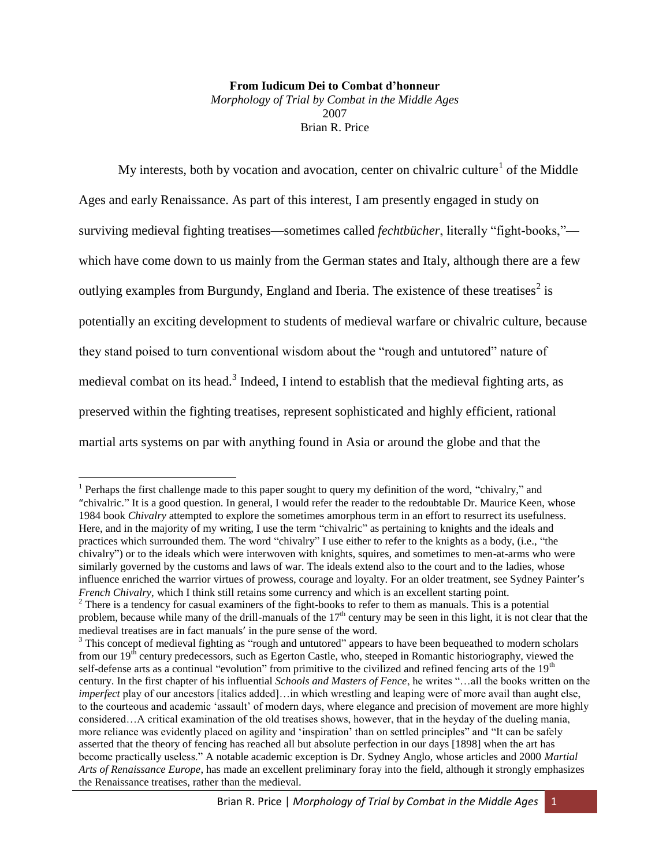#### **From Iudicum Dei to Combat d'honneur**

*Morphology of Trial by Combat in the Middle Ages* 2007 Brian R. Price

My interests, both by vocation and avocation, center on chivalric culture<sup>1</sup> of the Middle Ages and early Renaissance. As part of this interest, I am presently engaged in study on surviving medieval fighting treatises—sometimes called *fechtbücher*, literally "fight-books," which have come down to us mainly from the German states and Italy, although there are a few outlying examples from Burgundy, England and Iberia. The existence of these treatises<sup>2</sup> is potentially an exciting development to students of medieval warfare or chivalric culture, because they stand poised to turn conventional wisdom about the "rough and untutored" nature of medieval combat on its head.<sup>3</sup> Indeed, I intend to establish that the medieval fighting arts, as preserved within the fighting treatises, represent sophisticated and highly efficient, rational martial arts systems on par with anything found in Asia or around the globe and that the

 $\overline{\phantom{a}}$ <sup>1</sup> Perhaps the first challenge made to this paper sought to query my definition of the word, "chivalry," and "chivalric." It is a good question. In general, I would refer the reader to the redoubtable Dr. Maurice Keen, whose 1984 book *Chivalry* attempted to explore the sometimes amorphous term in an effort to resurrect its usefulness. Here, and in the majority of my writing, I use the term "chivalric" as pertaining to knights and the ideals and practices which surrounded them. The word "chivalry" I use either to refer to the knights as a body, (i.e., "the chivalry") or to the ideals which were interwoven with knights, squires, and sometimes to men-at-arms who were similarly governed by the customs and laws of war. The ideals extend also to the court and to the ladies, whose influence enriched the warrior virtues of prowess, courage and loyalty. For an older treatment, see Sydney Painter's *French Chivalry*, which I think still retains some currency and which is an excellent starting point.

<sup>&</sup>lt;sup>2</sup> There is a tendency for casual examiners of the fight-books to refer to them as manuals. This is a potential problem, because while many of the drill-manuals of the  $17<sup>th</sup>$  century may be seen in this light, it is not clear that the medieval treatises are in fact manuals' in the pure sense of the word.

<sup>&</sup>lt;sup>3</sup> This concept of medieval fighting as "rough and untutored" appears to have been bequeathed to modern scholars from our  $19<sup>th</sup>$  century predecessors, such as Egerton Castle, who, steeped in Romantic historiography, viewed the self-defense arts as a continual "evolution" from primitive to the civilized and refined fencing arts of the  $19<sup>th</sup>$ century. In the first chapter of his influential *Schools and Masters of Fence*, he writes "…all the books written on the *imperfect* play of our ancestors [italics added]…in which wrestling and leaping were of more avail than aught else, to the courteous and academic 'assault' of modern days, where elegance and precision of movement are more highly considered…A critical examination of the old treatises shows, however, that in the heyday of the dueling mania, more reliance was evidently placed on agility and 'inspiration' than on settled principles" and "It can be safely asserted that the theory of fencing has reached all but absolute perfection in our days [1898] when the art has become practically useless." A notable academic exception is Dr. Sydney Anglo, whose articles and 2000 *Martial Arts of Renaissance Europe*, has made an excellent preliminary foray into the field, although it strongly emphasizes the Renaissance treatises, rather than the medieval.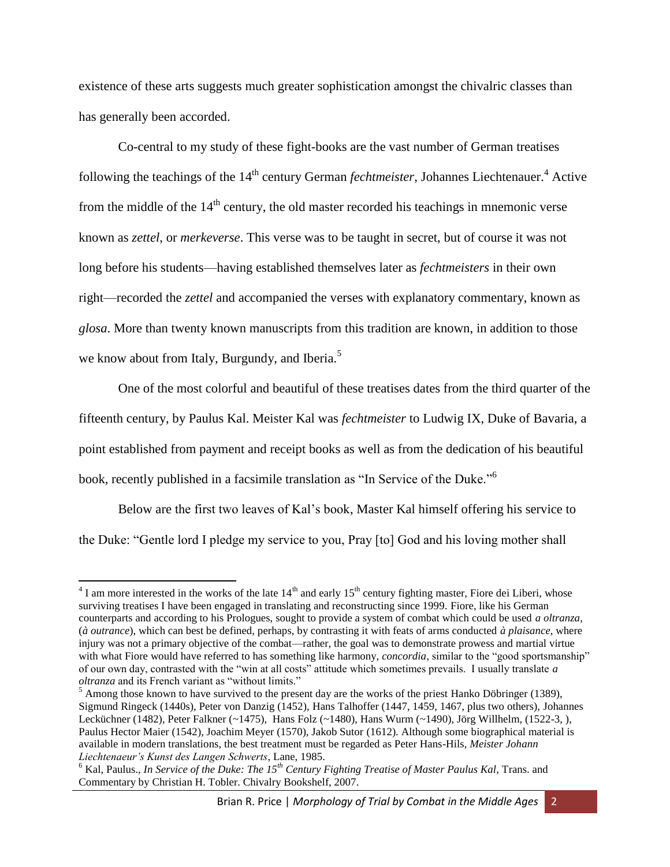existence of these arts suggests much greater sophistication amongst the chivalric classes than has generally been accorded.

Co-central to my study of these fight-books are the vast number of German treatises following the teachings of the 14<sup>th</sup> century German *fechtmeister*, Johannes Liechtenauer.<sup>4</sup> Active from the middle of the 14<sup>th</sup> century, the old master recorded his teachings in mnemonic verse known as *zettel*, or *merkeverse*. This verse was to be taught in secret, but of course it was not long before his students—having established themselves later as *fechtmeisters* in their own right—recorded the *zettel* and accompanied the verses with explanatory commentary, known as *glosa*. More than twenty known manuscripts from this tradition are known, in addition to those we know about from Italy, Burgundy, and Iberia.<sup>5</sup>

One of the most colorful and beautiful of these treatises dates from the third quarter of the fifteenth century, by Paulus Kal. Meister Kal was *fechtmeister* to Ludwig IX, Duke of Bavaria, a point established from payment and receipt books as well as from the dedication of his beautiful book, recently published in a facsimile translation as "In Service of the Duke."<sup>6</sup>

Below are the first two leaves of Kal's book, Master Kal himself offering his service to the Duke: "Gentle lord I pledge my service to you, Pray [to] God and his loving mother shall

 $4$  I am more interested in the works of the late  $14<sup>th</sup>$  and early  $15<sup>th</sup>$  century fighting master, Fiore dei Liberi, whose surviving treatises I have been engaged in translating and reconstructing since 1999. Fiore, like his German counterparts and according to his Prologues, sought to provide a system of combat which could be used *a oltranza*, (*à outrance*), which can best be defined, perhaps, by contrasting it with feats of arms conducted *à plaisance*, where injury was not a primary objective of the combat—rather, the goal was to demonstrate prowess and martial virtue with what Fiore would have referred to has something like harmony, *concordia*, similar to the "good sportsmanship" of our own day, contrasted with the "win at all costs" attitude which sometimes prevails. I usually translate *a oltranza* and its French variant as "without limits."

 $<sup>5</sup>$  Among those known to have survived to the present day are the works of the priest Hanko Döbringer (1389),</sup> Sigmund Ringeck (1440s), Peter von Danzig (1452), Hans Talhoffer (1447, 1459, 1467, plus two others), Johannes Lecküchner (1482), Peter Falkner (~1475), Hans Folz (~1480), Hans Wurm (~1490), Jörg Willhelm, (1522-3, ), Paulus Hector Maier (1542), Joachim Meyer (1570), Jakob Sutor (1612). Although some biographical material is available in modern translations, the best treatment must be regarded as Peter Hans-Hils, *Meister Johann Liechtenaeur's Kunst des Langen Schwerts*, Lane, 1985.

<sup>6</sup> Kal, Paulus., *In Service of the Duke: The 15th Century Fighting Treatise of Master Paulus Kal*, Trans. and Commentary by Christian H. Tobler. Chivalry Bookshelf, 2007.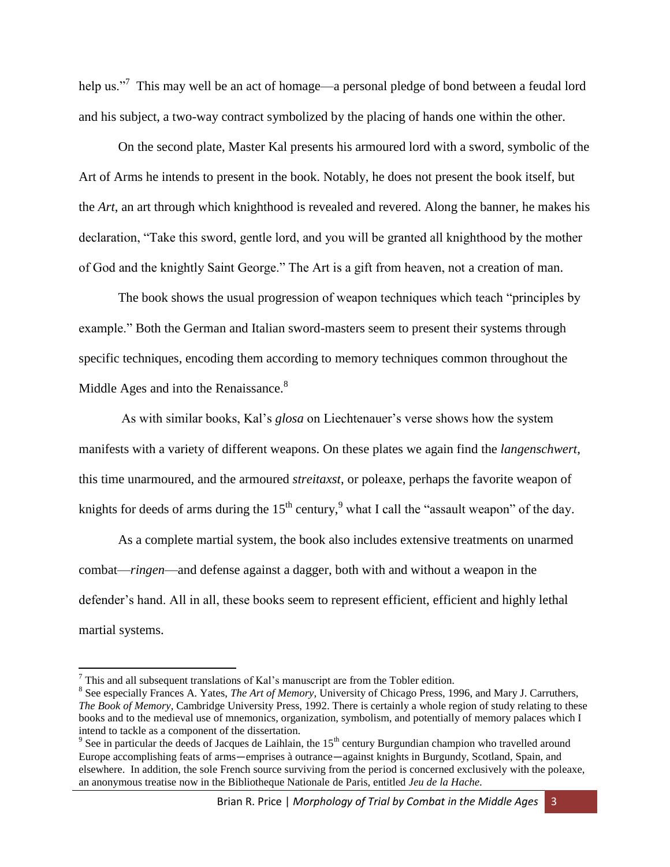help us."<sup>7</sup> This may well be an act of homage—a personal pledge of bond between a feudal lord and his subject, a two-way contract symbolized by the placing of hands one within the other.

On the second plate, Master Kal presents his armoured lord with a sword, symbolic of the Art of Arms he intends to present in the book. Notably, he does not present the book itself, but the *Art*, an art through which knighthood is revealed and revered. Along the banner, he makes his declaration, "Take this sword, gentle lord, and you will be granted all knighthood by the mother of God and the knightly Saint George." The Art is a gift from heaven, not a creation of man.

The book shows the usual progression of weapon techniques which teach "principles by example." Both the German and Italian sword-masters seem to present their systems through specific techniques, encoding them according to memory techniques common throughout the Middle Ages and into the Renaissance.<sup>8</sup>

As with similar books, Kal's *glosa* on Liechtenauer's verse shows how the system manifests with a variety of different weapons. On these plates we again find the *langenschwert*, this time unarmoured, and the armoured *streitaxst*, or poleaxe, perhaps the favorite weapon of knights for deeds of arms during the  $15<sup>th</sup>$  century,<sup>9</sup> what I call the "assault weapon" of the day.

As a complete martial system, the book also includes extensive treatments on unarmed combat—*ringen*—and defense against a dagger, both with and without a weapon in the defender's hand. All in all, these books seem to represent efficient, efficient and highly lethal martial systems.

 $<sup>7</sup>$  This and all subsequent translations of Kal's manuscript are from the Tobler edition.</sup>

<sup>8</sup> See especially Frances A. Yates, *The Art of Memory*, University of Chicago Press, 1996, and Mary J. Carruthers, *The Book of Memory*, Cambridge University Press, 1992. There is certainly a whole region of study relating to these books and to the medieval use of mnemonics, organization, symbolism, and potentially of memory palaces which I intend to tackle as a component of the dissertation.

<sup>&</sup>lt;sup>9</sup> See in particular the deeds of Jacques de Laihlain, the  $15<sup>th</sup>$  century Burgundian champion who travelled around Europe accomplishing feats of arms—emprises à outrance—against knights in Burgundy, Scotland, Spain, and elsewhere. In addition, the sole French source surviving from the period is concerned exclusively with the poleaxe, an anonymous treatise now in the Bibliotheque Nationale de Paris, entitled *Jeu de la Hache*.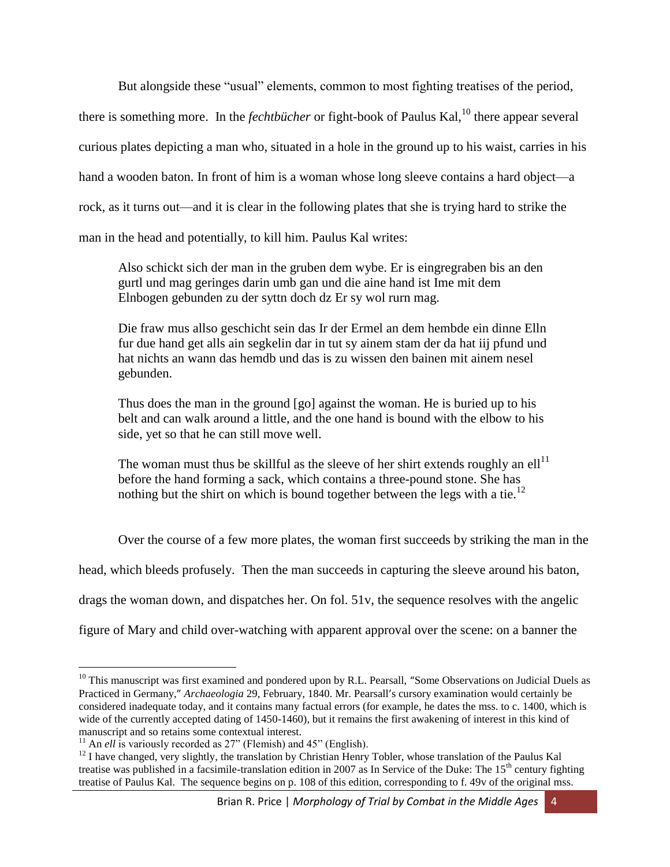But alongside these "usual" elements, common to most fighting treatises of the period, there is something more. In the *fechtbücher* or fight-book of Paulus Kal,<sup>10</sup> there appear several curious plates depicting a man who, situated in a hole in the ground up to his waist, carries in his hand a wooden baton. In front of him is a woman whose long sleeve contains a hard object—a rock, as it turns out—and it is clear in the following plates that she is trying hard to strike the man in the head and potentially, to kill him. Paulus Kal writes:

Also schickt sich der man in the gruben dem wybe. Er is eingregraben bis an den gurtl und mag geringes darin umb gan und die aine hand ist Ime mit dem Elnbogen gebunden zu der syttn doch dz Er sy wol rurn mag.

Die fraw mus allso geschicht sein das Ir der Ermel an dem hembde ein dinne Elln fur due hand get alls ain segkelin dar in tut sy ainem stam der da hat iij pfund und hat nichts an wann das hemdb und das is zu wissen den bainen mit ainem nesel gebunden.

Thus does the man in the ground [go] against the woman. He is buried up to his belt and can walk around a little, and the one hand is bound with the elbow to his side, yet so that he can still move well.

The woman must thus be skillful as the sleeve of her shirt extends roughly an ell<sup>11</sup> before the hand forming a sack, which contains a three-pound stone. She has nothing but the shirt on which is bound together between the legs with a tie.<sup>12</sup>

Over the course of a few more plates, the woman first succeeds by striking the man in the

head, which bleeds profusely. Then the man succeeds in capturing the sleeve around his baton,

drags the woman down, and dispatches her. On fol. 51v, the sequence resolves with the angelic

figure of Mary and child over-watching with apparent approval over the scene: on a banner the

 $10$  This manuscript was first examined and pondered upon by R.L. Pearsall, "Some Observations on Judicial Duels as Practiced in Germany," *Archaeologia* 29, February, 1840. Mr. Pearsall's cursory examination would certainly be considered inadequate today, and it contains many factual errors (for example, he dates the mss. to c. 1400, which is wide of the currently accepted dating of 1450-1460), but it remains the first awakening of interest in this kind of manuscript and so retains some contextual interest.

<sup>&</sup>lt;sup>11</sup> An *ell* is variously recorded as 27" (Flemish) and 45" (English).

 $12$  I have changed, very slightly, the translation by Christian Henry Tobler, whose translation of the Paulus Kal treatise was published in a facsimile-translation edition in 2007 as In Service of the Duke: The  $15<sup>th</sup>$  century fighting treatise of Paulus Kal. The sequence begins on p. 108 of this edition, corresponding to f. 49v of the original mss.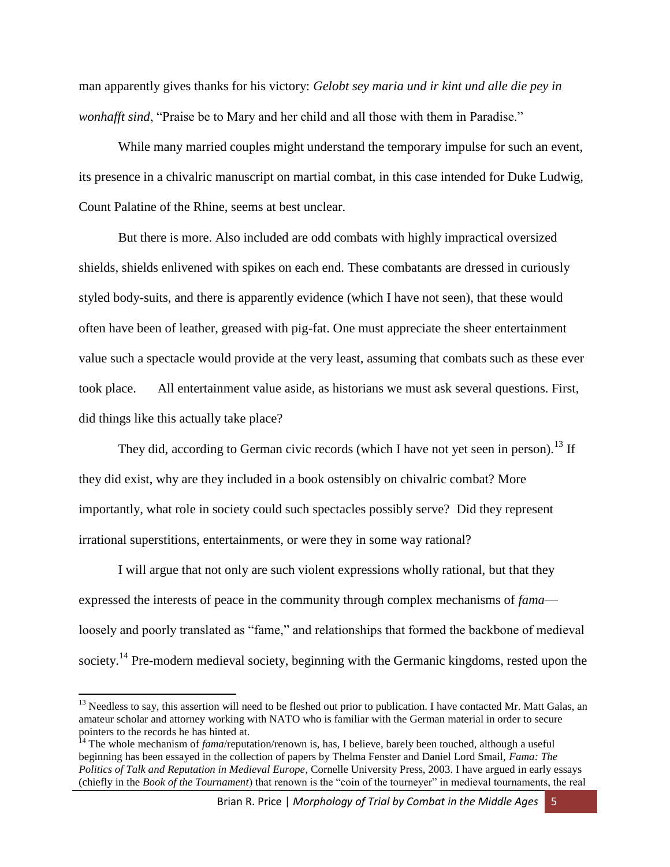man apparently gives thanks for his victory: *Gelobt sey maria und ir kint und alle die pey in wonhafft sind*, "Praise be to Mary and her child and all those with them in Paradise."

While many married couples might understand the temporary impulse for such an event, its presence in a chivalric manuscript on martial combat, in this case intended for Duke Ludwig, Count Palatine of the Rhine, seems at best unclear.

But there is more. Also included are odd combats with highly impractical oversized shields, shields enlivened with spikes on each end. These combatants are dressed in curiously styled body-suits, and there is apparently evidence (which I have not seen), that these would often have been of leather, greased with pig-fat. One must appreciate the sheer entertainment value such a spectacle would provide at the very least, assuming that combats such as these ever took place. All entertainment value aside, as historians we must ask several questions. First, did things like this actually take place?

They did, according to German civic records (which I have not yet seen in person).<sup>13</sup> If they did exist, why are they included in a book ostensibly on chivalric combat? More importantly, what role in society could such spectacles possibly serve? Did they represent irrational superstitions, entertainments, or were they in some way rational?

I will argue that not only are such violent expressions wholly rational, but that they expressed the interests of peace in the community through complex mechanisms of *fama* loosely and poorly translated as "fame," and relationships that formed the backbone of medieval society.<sup>14</sup> Pre-modern medieval society, beginning with the Germanic kingdoms, rested upon the

 $13$  Needless to say, this assertion will need to be fleshed out prior to publication. I have contacted Mr. Matt Galas, an amateur scholar and attorney working with NATO who is familiar with the German material in order to secure pointers to the records he has hinted at.

<sup>&</sup>lt;sup>14</sup> The whole mechanism of *fama*/reputation/renown is, has, I believe, barely been touched, although a useful beginning has been essayed in the collection of papers by Thelma Fenster and Daniel Lord Smail, *Fama: The Politics of Talk and Reputation in Medieval Europe*, Cornelle University Press, 2003. I have argued in early essays (chiefly in the *Book of the Tournament*) that renown is the "coin of the tourneyer" in medieval tournaments, the real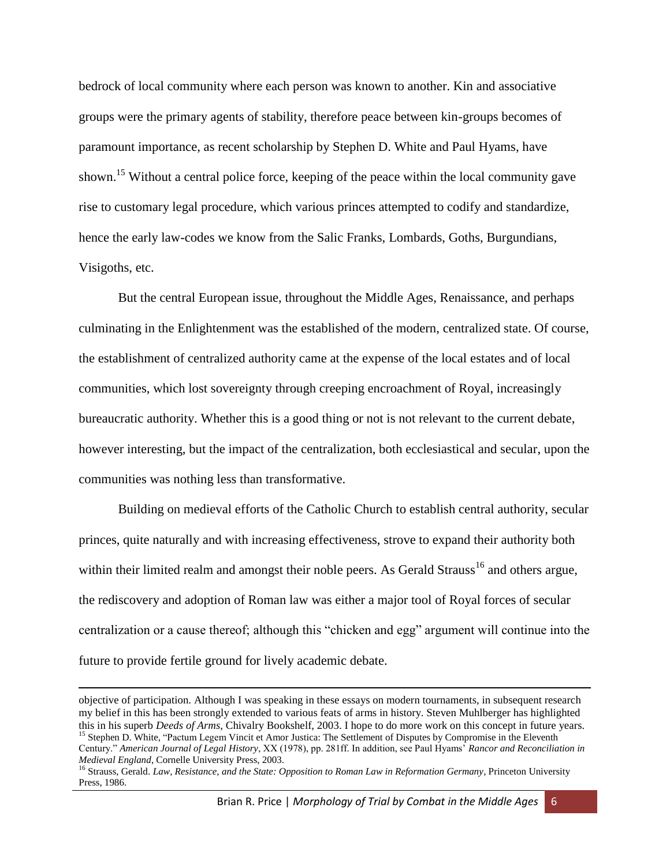bedrock of local community where each person was known to another. Kin and associative groups were the primary agents of stability, therefore peace between kin-groups becomes of paramount importance, as recent scholarship by Stephen D. White and Paul Hyams, have shown.<sup>15</sup> Without a central police force, keeping of the peace within the local community gave rise to customary legal procedure, which various princes attempted to codify and standardize, hence the early law-codes we know from the Salic Franks, Lombards, Goths, Burgundians, Visigoths, etc.

But the central European issue, throughout the Middle Ages, Renaissance, and perhaps culminating in the Enlightenment was the established of the modern, centralized state. Of course, the establishment of centralized authority came at the expense of the local estates and of local communities, which lost sovereignty through creeping encroachment of Royal, increasingly bureaucratic authority. Whether this is a good thing or not is not relevant to the current debate, however interesting, but the impact of the centralization, both ecclesiastical and secular, upon the communities was nothing less than transformative.

Building on medieval efforts of the Catholic Church to establish central authority, secular princes, quite naturally and with increasing effectiveness, strove to expand their authority both within their limited realm and amongst their noble peers. As Gerald Strauss<sup>16</sup> and others argue, the rediscovery and adoption of Roman law was either a major tool of Royal forces of secular centralization or a cause thereof; although this "chicken and egg" argument will continue into the future to provide fertile ground for lively academic debate.

 $\overline{a}$ 

objective of participation. Although I was speaking in these essays on modern tournaments, in subsequent research my belief in this has been strongly extended to various feats of arms in history. Steven Muhlberger has highlighted this in his superb *Deeds of Arms*, Chivalry Bookshelf, 2003. I hope to do more work on this concept in future years. <sup>15</sup> Stephen D. White, "Pactum Legem Vincit et Amor Justica: The Settlement of Disputes by Compromise in the Eleventh

Century." *American Journal of Legal History*, XX (1978), pp. 281ff. In addition, see Paul Hyams' *Rancor and Reconciliation in Medieval England*, Cornelle University Press, 2003.

<sup>&</sup>lt;sup>16</sup> Strauss, Gerald. *Law, Resistance, and the State: Opposition to Roman Law in Reformation Germany*, Princeton University Press, 1986.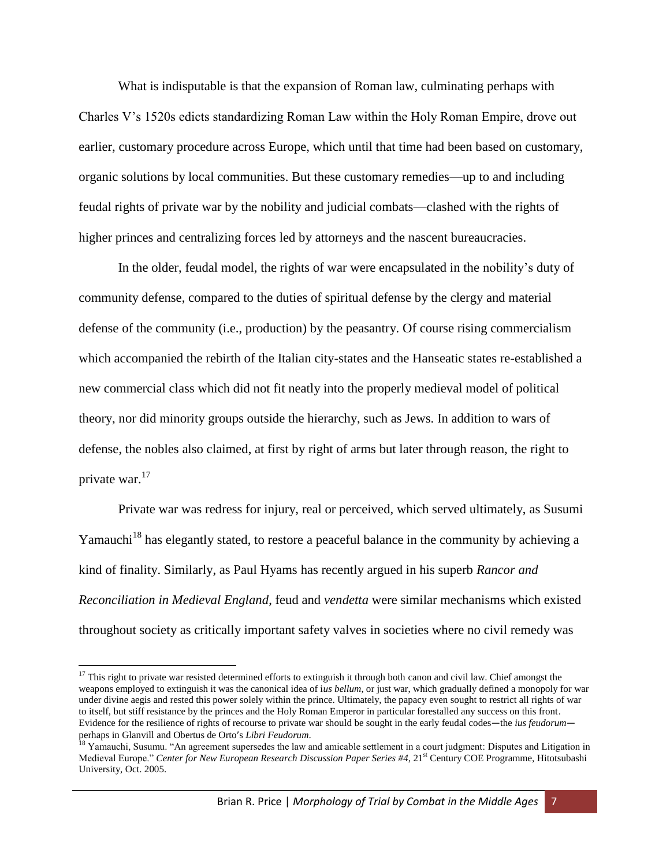What is indisputable is that the expansion of Roman law, culminating perhaps with Charles V's 1520s edicts standardizing Roman Law within the Holy Roman Empire, drove out earlier, customary procedure across Europe, which until that time had been based on customary, organic solutions by local communities. But these customary remedies—up to and including feudal rights of private war by the nobility and judicial combats—clashed with the rights of higher princes and centralizing forces led by attorneys and the nascent bureaucracies.

In the older, feudal model, the rights of war were encapsulated in the nobility's duty of community defense, compared to the duties of spiritual defense by the clergy and material defense of the community (i.e., production) by the peasantry. Of course rising commercialism which accompanied the rebirth of the Italian city-states and the Hanseatic states re-established a new commercial class which did not fit neatly into the properly medieval model of political theory, nor did minority groups outside the hierarchy, such as Jews. In addition to wars of defense, the nobles also claimed, at first by right of arms but later through reason, the right to private war.<sup>17</sup>

Private war was redress for injury, real or perceived, which served ultimately, as Susumi Yamauchi<sup>18</sup> has elegantly stated, to restore a peaceful balance in the community by achieving a kind of finality. Similarly, as Paul Hyams has recently argued in his superb *Rancor and Reconciliation in Medieval England*, feud and *vendetta* were similar mechanisms which existed throughout society as critically important safety valves in societies where no civil remedy was

 $\overline{a}$ 

<sup>&</sup>lt;sup>17</sup> This right to private war resisted determined efforts to extinguish it through both canon and civil law. Chief amongst the weapons employed to extinguish it was the canonical idea of i*us bellum*, or just war, which gradually defined a monopoly for war under divine aegis and rested this power solely within the prince. Ultimately, the papacy even sought to restrict all rights of war to itself, but stiff resistance by the princes and the Holy Roman Emperor in particular forestalled any success on this front. Evidence for the resilience of rights of recourse to private war should be sought in the early feudal codes—the *ius feudorum* perhaps in Glanvill and Obertus de Orto's *Libri Feudorum*.

<sup>&</sup>lt;sup>18</sup> Yamauchi, Susumu. "An agreement supersedes the law and amicable settlement in a court judgment: Disputes and Litigation in Medieval Europe." *Center for New European Research Discussion Paper Series #4*, 21st Century COE Programme, Hitotsubashi University, Oct. 2005.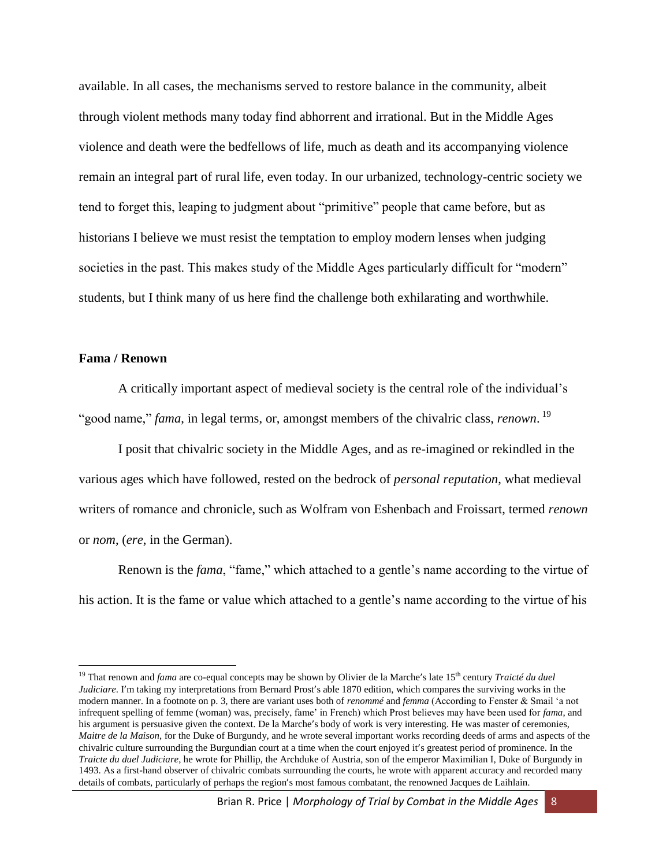available. In all cases, the mechanisms served to restore balance in the community, albeit through violent methods many today find abhorrent and irrational. But in the Middle Ages violence and death were the bedfellows of life, much as death and its accompanying violence remain an integral part of rural life, even today. In our urbanized, technology-centric society we tend to forget this, leaping to judgment about "primitive" people that came before, but as historians I believe we must resist the temptation to employ modern lenses when judging societies in the past. This makes study of the Middle Ages particularly difficult for "modern" students, but I think many of us here find the challenge both exhilarating and worthwhile.

### **Fama / Renown**

 $\overline{\phantom{a}}$ 

A critically important aspect of medieval society is the central role of the individual's "good name," *fama*, in legal terms, or, amongst members of the chivalric class, *renown*. 19

I posit that chivalric society in the Middle Ages, and as re-imagined or rekindled in the various ages which have followed, rested on the bedrock of *personal reputation*, what medieval writers of romance and chronicle, such as Wolfram von Eshenbach and Froissart, termed *renown* or *nom*, (*ere*, in the German).

Renown is the *fama*, "fame," which attached to a gentle's name according to the virtue of his action. It is the fame or value which attached to a gentle's name according to the virtue of his

<sup>19</sup> That renown and *fama* are co-equal concepts may be shown by Olivier de la Marche's late 15th century *Traicté du duel Judiciare*. I'm taking my interpretations from Bernard Prost's able 1870 edition, which compares the surviving works in the modern manner. In a footnote on p. 3, there are variant uses both of *renommé* and *femma* (According to Fenster & Smail 'a not infrequent spelling of femme (woman) was, precisely, fame' in French) which Prost believes may have been used for *fama*, and his argument is persuasive given the context. De la Marche's body of work is very interesting. He was master of ceremonies, *Maitre de la Maison*, for the Duke of Burgundy, and he wrote several important works recording deeds of arms and aspects of the chivalric culture surrounding the Burgundian court at a time when the court enjoyed it's greatest period of prominence. In the *Traicte du duel Judiciare*, he wrote for Phillip, the Archduke of Austria, son of the emperor Maximilian I, Duke of Burgundy in 1493. As a first-hand observer of chivalric combats surrounding the courts, he wrote with apparent accuracy and recorded many details of combats, particularly of perhaps the region's most famous combatant, the renowned Jacques de Laihlain.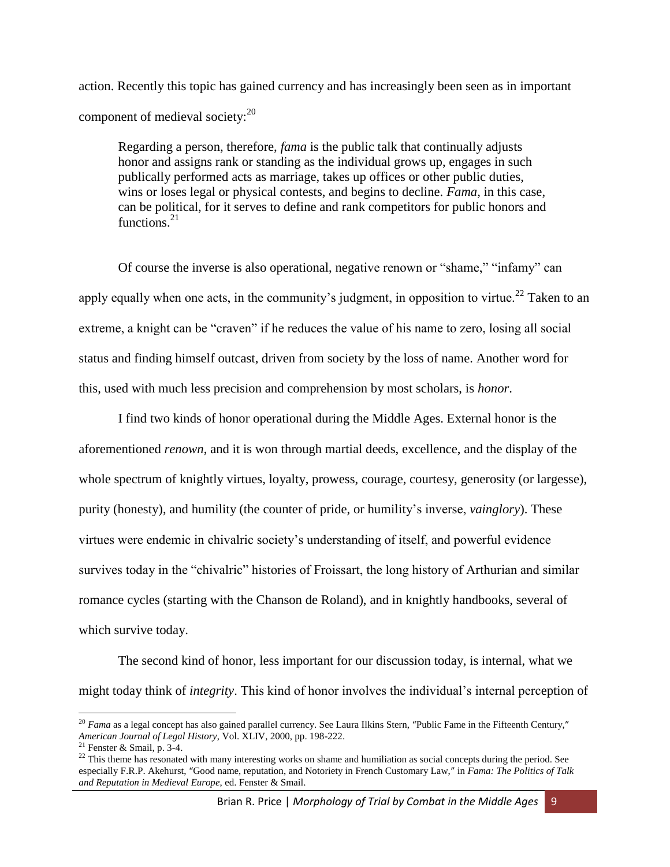action. Recently this topic has gained currency and has increasingly been seen as in important component of medieval society:<sup>20</sup>

Regarding a person, therefore, *fama* is the public talk that continually adjusts honor and assigns rank or standing as the individual grows up, engages in such publically performed acts as marriage, takes up offices or other public duties, wins or loses legal or physical contests, and begins to decline. *Fama*, in this case, can be political, for it serves to define and rank competitors for public honors and functions. $21$ 

Of course the inverse is also operational, negative renown or "shame," "infamy" can apply equally when one acts, in the community's judgment, in opposition to virtue.<sup>22</sup> Taken to an extreme, a knight can be "craven" if he reduces the value of his name to zero, losing all social status and finding himself outcast, driven from society by the loss of name. Another word for this, used with much less precision and comprehension by most scholars, is *honor*.

I find two kinds of honor operational during the Middle Ages. External honor is the aforementioned *renown*, and it is won through martial deeds, excellence, and the display of the whole spectrum of knightly virtues, loyalty, prowess, courage, courtesy, generosity (or largesse), purity (honesty), and humility (the counter of pride, or humility's inverse, *vainglory*). These virtues were endemic in chivalric society's understanding of itself, and powerful evidence survives today in the "chivalric" histories of Froissart, the long history of Arthurian and similar romance cycles (starting with the Chanson de Roland), and in knightly handbooks, several of which survive today.

The second kind of honor, less important for our discussion today, is internal, what we might today think of *integrity*. This kind of honor involves the individual's internal perception of

l

<sup>&</sup>lt;sup>20</sup> *Fama* as a legal concept has also gained parallel currency. See Laura Ilkins Stern, "Public Fame in the Fifteenth Century," *American Journal of Legal History*, Vol. XLIV, 2000, pp. 198-222.

 $21$  Fenster & Smail, p. 3-4.

<sup>&</sup>lt;sup>22</sup> This theme has resonated with many interesting works on shame and humiliation as social concepts during the period. See especially F.R.P. Akehurst, "Good name, reputation, and Notoriety in French Customary Law," in *Fama: The Politics of Talk and Reputation in Medieval Europe*, ed. Fenster & Smail.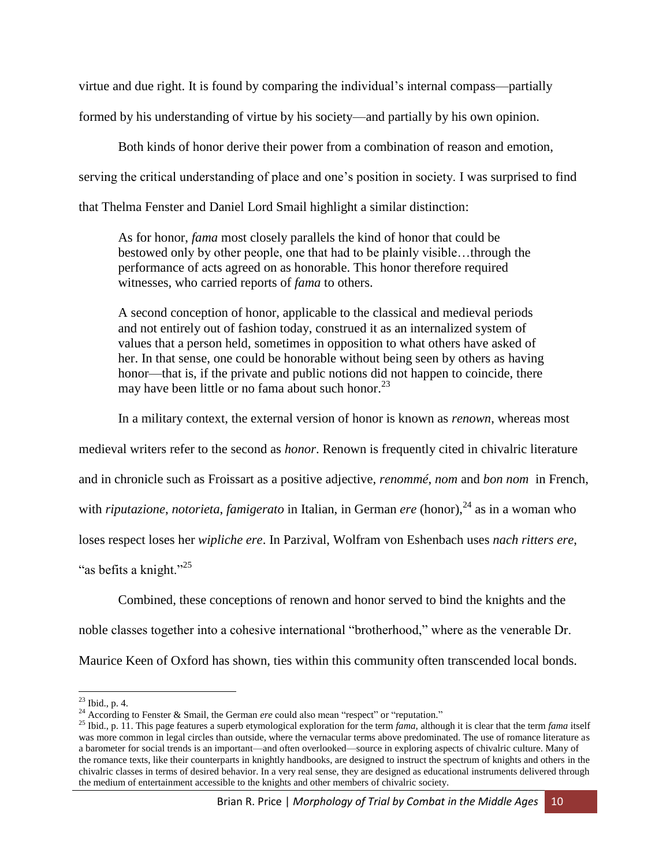virtue and due right. It is found by comparing the individual's internal compass—partially

formed by his understanding of virtue by his society—and partially by his own opinion.

Both kinds of honor derive their power from a combination of reason and emotion,

serving the critical understanding of place and one's position in society. I was surprised to find

that Thelma Fenster and Daniel Lord Smail highlight a similar distinction:

As for honor, *fama* most closely parallels the kind of honor that could be bestowed only by other people, one that had to be plainly visible…through the performance of acts agreed on as honorable. This honor therefore required witnesses, who carried reports of *fama* to others.

A second conception of honor, applicable to the classical and medieval periods and not entirely out of fashion today, construed it as an internalized system of values that a person held, sometimes in opposition to what others have asked of her. In that sense, one could be honorable without being seen by others as having honor—that is, if the private and public notions did not happen to coincide, there may have been little or no fama about such honor. $^{23}$ 

In a military context, the external version of honor is known as *renown*, whereas most

medieval writers refer to the second as *honor*. Renown is frequently cited in chivalric literature

and in chronicle such as Froissart as a positive adjective, *renommé*, *nom* and *bon nom* in French,

with *riputazione*, *notorieta*, *famigerato* in Italian, in German *ere* (honor),<sup>24</sup> as in a woman who

loses respect loses her *wipliche ere*. In Parzival, Wolfram von Eshenbach uses *nach ritters ere*,

"as befits a knight."<sup>25</sup>

Combined, these conceptions of renown and honor served to bind the knights and the

noble classes together into a cohesive international "brotherhood," where as the venerable Dr.

Maurice Keen of Oxford has shown, ties within this community often transcended local bonds.

 $\overline{\phantom{a}}$  $^{23}$  Ibid., p. 4.

<sup>&</sup>lt;sup>24</sup> According to Fenster & Smail, the German *ere* could also mean "respect" or "reputation."

<sup>25</sup> Ibid., p. 11. This page features a superb etymological exploration for the term *fama*, although it is clear that the term *fama* itself was more common in legal circles than outside, where the vernacular terms above predominated. The use of romance literature as a barometer for social trends is an important—and often overlooked—source in exploring aspects of chivalric culture. Many of the romance texts, like their counterparts in knightly handbooks, are designed to instruct the spectrum of knights and others in the chivalric classes in terms of desired behavior. In a very real sense, they are designed as educational instruments delivered through the medium of entertainment accessible to the knights and other members of chivalric society.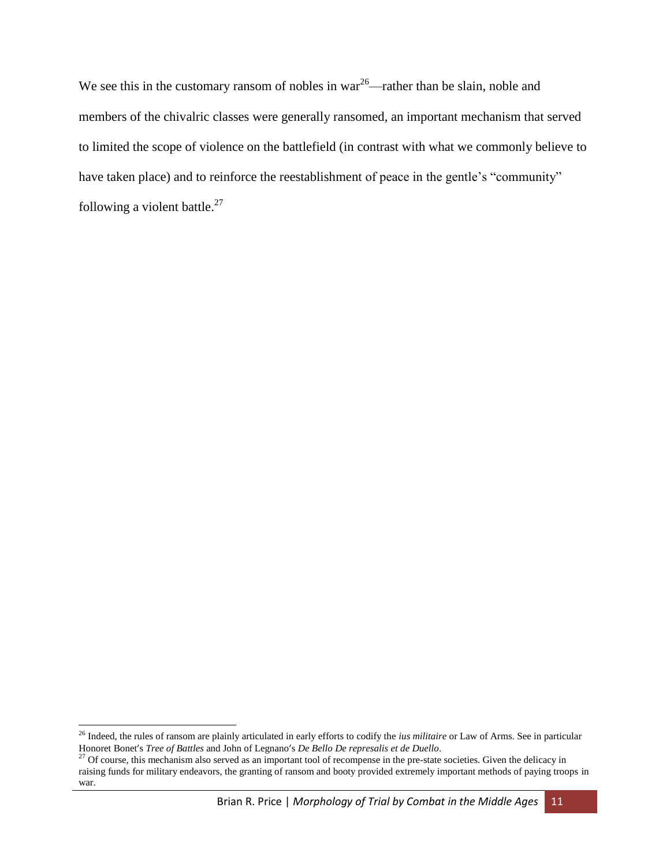We see this in the customary ransom of nobles in war<sup>26</sup>—rather than be slain, noble and members of the chivalric classes were generally ransomed, an important mechanism that served to limited the scope of violence on the battlefield (in contrast with what we commonly believe to have taken place) and to reinforce the reestablishment of peace in the gentle's "community" following a violent battle. $27$ 

<sup>26</sup> Indeed, the rules of ransom are plainly articulated in early efforts to codify the *ius militaire* or Law of Arms. See in particular Honoret Bonet's *Tree of Battles* and John of Legnano's *De Bello De represalis et de Duello*.

<sup>&</sup>lt;sup>27</sup> Of course, this mechanism also served as an important tool of recompense in the pre-state societies. Given the delicacy in raising funds for military endeavors, the granting of ransom and booty provided extremely important methods of paying troops in war.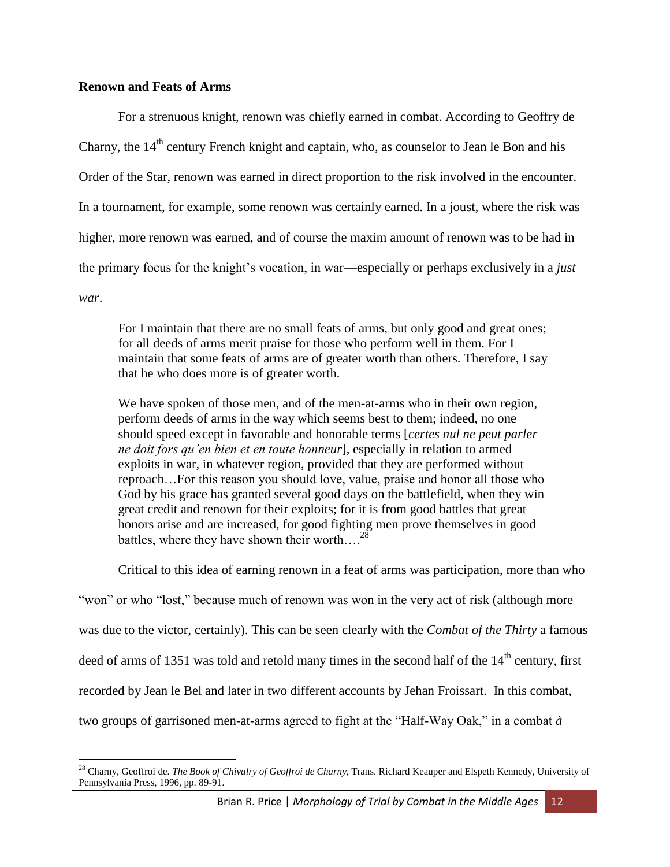### **Renown and Feats of Arms**

For a strenuous knight, renown was chiefly earned in combat. According to Geoffry de Charny, the  $14<sup>th</sup>$  century French knight and captain, who, as counselor to Jean le Bon and his Order of the Star, renown was earned in direct proportion to the risk involved in the encounter. In a tournament, for example, some renown was certainly earned. In a joust, where the risk was higher, more renown was earned, and of course the maxim amount of renown was to be had in the primary focus for the knight's vocation, in war—especially or perhaps exclusively in a *just war*.

For I maintain that there are no small feats of arms, but only good and great ones; for all deeds of arms merit praise for those who perform well in them. For I maintain that some feats of arms are of greater worth than others. Therefore, I say that he who does more is of greater worth.

We have spoken of those men, and of the men-at-arms who in their own region, perform deeds of arms in the way which seems best to them; indeed, no one should speed except in favorable and honorable terms [*certes nul ne peut parler ne doit fors qu'en bien et en toute honneur*], especially in relation to armed exploits in war, in whatever region, provided that they are performed without reproach…For this reason you should love, value, praise and honor all those who God by his grace has granted several good days on the battlefield, when they win great credit and renown for their exploits; for it is from good battles that great honors arise and are increased, for good fighting men prove themselves in good battles, where they have shown their worth.... $^{28}$ 

Critical to this idea of earning renown in a feat of arms was participation, more than who

"won" or who "lost," because much of renown was won in the very act of risk (although more was due to the victor, certainly). This can be seen clearly with the *Combat of the Thirty* a famous deed of arms of 1351 was told and retold many times in the second half of the  $14<sup>th</sup>$  century, first recorded by Jean le Bel and later in two different accounts by Jehan Froissart. In this combat, two groups of garrisoned men-at-arms agreed to fight at the "Half-Way Oak," in a combat *à* 

 $\overline{a}$ <sup>28</sup> Charny, Geoffroi de. *The Book of Chivalry of Geoffroi de Charny*, Trans. Richard Keauper and Elspeth Kennedy, University of Pennsylvania Press, 1996, pp. 89-91.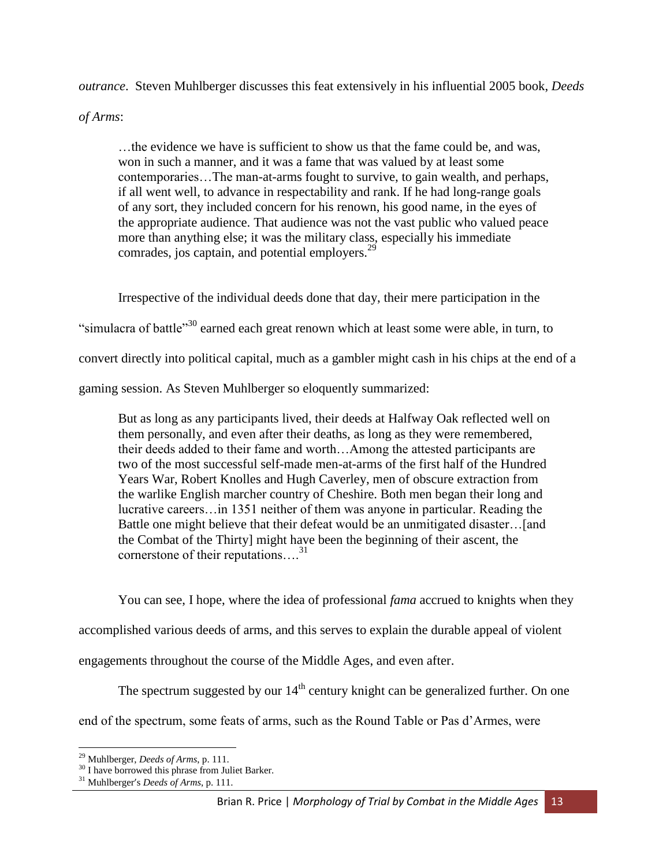*outrance*. Steven Muhlberger discusses this feat extensively in his influential 2005 book, *Deeds* 

*of Arms*:

…the evidence we have is sufficient to show us that the fame could be, and was, won in such a manner, and it was a fame that was valued by at least some contemporaries…The man-at-arms fought to survive, to gain wealth, and perhaps, if all went well, to advance in respectability and rank. If he had long-range goals of any sort, they included concern for his renown, his good name, in the eyes of the appropriate audience. That audience was not the vast public who valued peace more than anything else; it was the military class, especially his immediate comrades, jos captain, and potential employers.<sup>29</sup>

Irrespective of the individual deeds done that day, their mere participation in the "simulacra of battle<sup>"30</sup> earned each great renown which at least some were able, in turn, to convert directly into political capital, much as a gambler might cash in his chips at the end of a gaming session. As Steven Muhlberger so eloquently summarized:

But as long as any participants lived, their deeds at Halfway Oak reflected well on them personally, and even after their deaths, as long as they were remembered, their deeds added to their fame and worth…Among the attested participants are two of the most successful self-made men-at-arms of the first half of the Hundred Years War, Robert Knolles and Hugh Caverley, men of obscure extraction from the warlike English marcher country of Cheshire. Both men began their long and lucrative careers…in 1351 neither of them was anyone in particular. Reading the Battle one might believe that their defeat would be an unmitigated disaster…[and the Combat of the Thirty] might have been the beginning of their ascent, the cornerstone of their reputations....<sup>31</sup>

You can see, I hope, where the idea of professional *fama* accrued to knights when they

accomplished various deeds of arms, and this serves to explain the durable appeal of violent

engagements throughout the course of the Middle Ages, and even after.

The spectrum suggested by our  $14<sup>th</sup>$  century knight can be generalized further. On one

end of the spectrum, some feats of arms, such as the Round Table or Pas d'Armes, were

 $\overline{\phantom{a}}$ <sup>29</sup> Muhlberger, *Deeds of Arms*, p. 111.

<sup>&</sup>lt;sup>30</sup> I have borrowed this phrase from Juliet Barker.

<sup>31</sup> Muhlberger's *Deeds of Arms*, p. 111.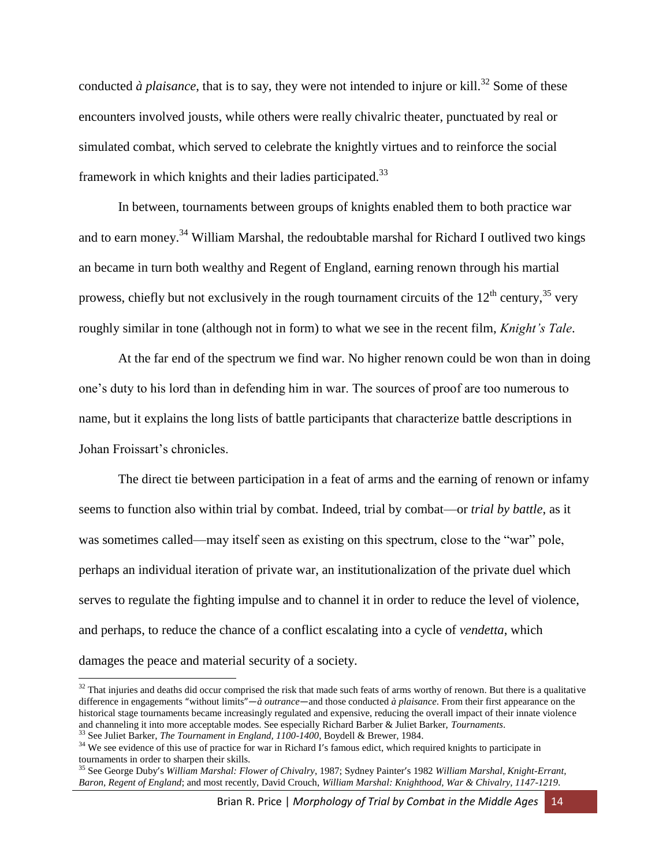conducted  $\dot{a}$  *plaisance*, that is to say, they were not intended to injure or kill.<sup>32</sup> Some of these encounters involved jousts, while others were really chivalric theater, punctuated by real or simulated combat, which served to celebrate the knightly virtues and to reinforce the social framework in which knights and their ladies participated.<sup>33</sup>

In between, tournaments between groups of knights enabled them to both practice war and to earn money.<sup>34</sup> William Marshal, the redoubtable marshal for Richard I outlived two kings an became in turn both wealthy and Regent of England, earning renown through his martial prowess, chiefly but not exclusively in the rough tournament circuits of the  $12<sup>th</sup>$  century,<sup>35</sup> very roughly similar in tone (although not in form) to what we see in the recent film, *Knight's Tale*.

At the far end of the spectrum we find war. No higher renown could be won than in doing one's duty to his lord than in defending him in war. The sources of proof are too numerous to name, but it explains the long lists of battle participants that characterize battle descriptions in Johan Froissart's chronicles.

The direct tie between participation in a feat of arms and the earning of renown or infamy seems to function also within trial by combat. Indeed, trial by combat—or *trial by battle*, as it was sometimes called—may itself seen as existing on this spectrum, close to the "war" pole, perhaps an individual iteration of private war, an institutionalization of the private duel which serves to regulate the fighting impulse and to channel it in order to reduce the level of violence, and perhaps, to reduce the chance of a conflict escalating into a cycle of *vendetta*, which damages the peace and material security of a society.

 $32$  That injuries and deaths did occur comprised the risk that made such feats of arms worthy of renown. But there is a qualitative difference in engagements "without limits"—*à outrance*—and those conducted *à plaisance*. From their first appearance on the historical stage tournaments became increasingly regulated and expensive, reducing the overall impact of their innate violence and channeling it into more acceptable modes. See especially Richard Barber & Juliet Barker, *Tournaments*. <sup>33</sup> See Juliet Barker, *The Tournament in England, 1100-1400*, Boydell & Brewer, 1984.

<sup>&</sup>lt;sup>34</sup> We see evidence of this use of practice for war in Richard I's famous edict, which required knights to participate in tournaments in order to sharpen their skills.

<sup>35</sup> See George Duby's *William Marshal: Flower of Chivalry*, 1987; Sydney Painter's 1982 *William Marshal, Knight-Errant, Baron, Regent of England*; and most recently, David Crouch, *William Marshal: Knighthood, War & Chivalry, 1147-1219*.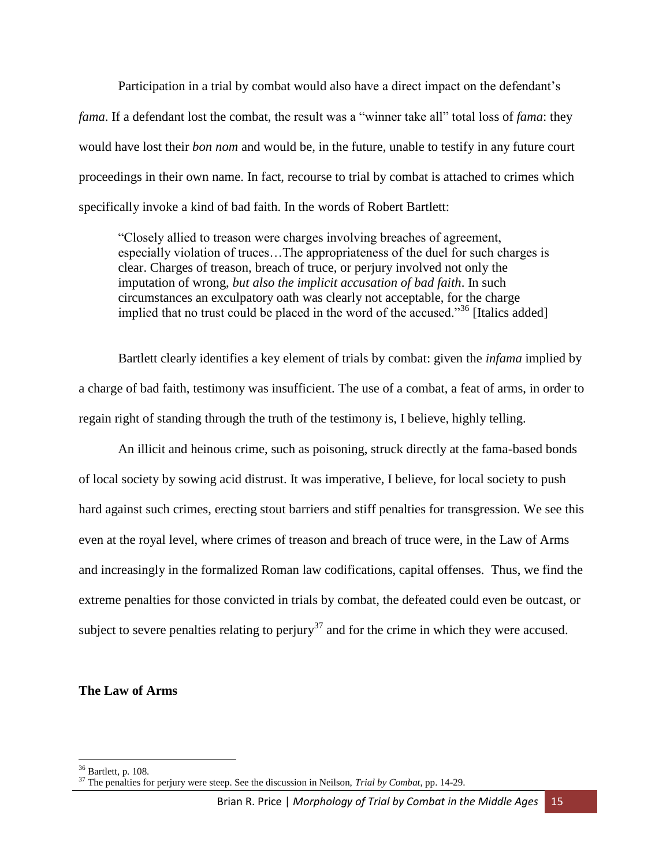Participation in a trial by combat would also have a direct impact on the defendant's *fama*. If a defendant lost the combat, the result was a "winner take all" total loss of *fama*: they would have lost their *bon nom* and would be, in the future, unable to testify in any future court proceedings in their own name. In fact, recourse to trial by combat is attached to crimes which specifically invoke a kind of bad faith. In the words of Robert Bartlett:

"Closely allied to treason were charges involving breaches of agreement, especially violation of truces…The appropriateness of the duel for such charges is clear. Charges of treason, breach of truce, or perjury involved not only the imputation of wrong, *but also the implicit accusation of bad faith*. In such circumstances an exculpatory oath was clearly not acceptable, for the charge implied that no trust could be placed in the word of the accused."<sup>36</sup> [Italics added]

Bartlett clearly identifies a key element of trials by combat: given the *infama* implied by a charge of bad faith, testimony was insufficient. The use of a combat, a feat of arms, in order to regain right of standing through the truth of the testimony is, I believe, highly telling.

An illicit and heinous crime, such as poisoning, struck directly at the fama-based bonds of local society by sowing acid distrust. It was imperative, I believe, for local society to push hard against such crimes, erecting stout barriers and stiff penalties for transgression. We see this even at the royal level, where crimes of treason and breach of truce were, in the Law of Arms and increasingly in the formalized Roman law codifications, capital offenses. Thus, we find the extreme penalties for those convicted in trials by combat, the defeated could even be outcast, or subject to severe penalties relating to perjury<sup>37</sup> and for the crime in which they were accused.

#### **The Law of Arms**

 $\overline{a}$ 

 $36$  Bartlett, p. 108.

<sup>37</sup> The penalties for perjury were steep. See the discussion in Neilson, *Trial by Combat*, pp. 14-29.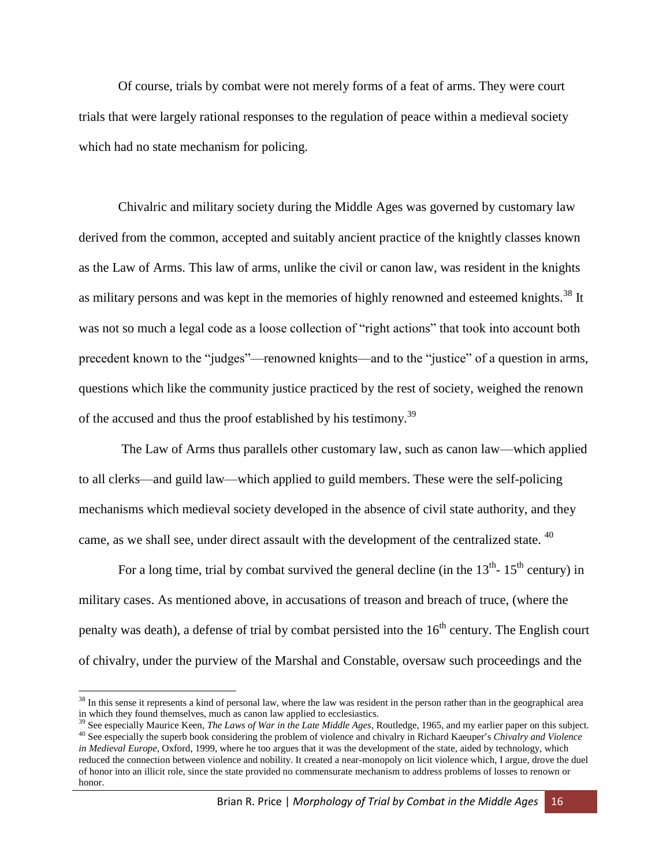Of course, trials by combat were not merely forms of a feat of arms. They were court trials that were largely rational responses to the regulation of peace within a medieval society which had no state mechanism for policing.

Chivalric and military society during the Middle Ages was governed by customary law derived from the common, accepted and suitably ancient practice of the knightly classes known as the Law of Arms. This law of arms, unlike the civil or canon law, was resident in the knights as military persons and was kept in the memories of highly renowned and esteemed knights.<sup>38</sup> It was not so much a legal code as a loose collection of "right actions" that took into account both precedent known to the "judges"—renowned knights—and to the "justice" of a question in arms, questions which like the community justice practiced by the rest of society, weighed the renown of the accused and thus the proof established by his testimony.<sup>39</sup>

The Law of Arms thus parallels other customary law, such as canon law—which applied to all clerks—and guild law—which applied to guild members. These were the self-policing mechanisms which medieval society developed in the absence of civil state authority, and they came, as we shall see, under direct assault with the development of the centralized state. <sup>40</sup>

For a long time, trial by combat survived the general decline (in the  $13<sup>th</sup>$ -  $15<sup>th</sup>$  century) in military cases. As mentioned above, in accusations of treason and breach of truce, (where the penalty was death), a defense of trial by combat persisted into the  $16<sup>th</sup>$  century. The English court of chivalry, under the purview of the Marshal and Constable, oversaw such proceedings and the

<sup>&</sup>lt;sup>38</sup> In this sense it represents a kind of personal law, where the law was resident in the person rather than in the geographical area in which they found themselves, much as canon law applied to ecclesiastics.

<sup>39</sup> See especially Maurice Keen, *The Laws of War in the Late Middle Ages*, Routledge, 1965, and my earlier paper on this subject.

<sup>40</sup> See especially the superb book considering the problem of violence and chivalry in Richard Kaeuper's *Chivalry and Violence in Medieval Europe*, Oxford, 1999, where he too argues that it was the development of the state, aided by technology, which reduced the connection between violence and nobility. It created a near-monopoly on licit violence which, I argue, drove the duel of honor into an illicit role, since the state provided no commensurate mechanism to address problems of losses to renown or honor.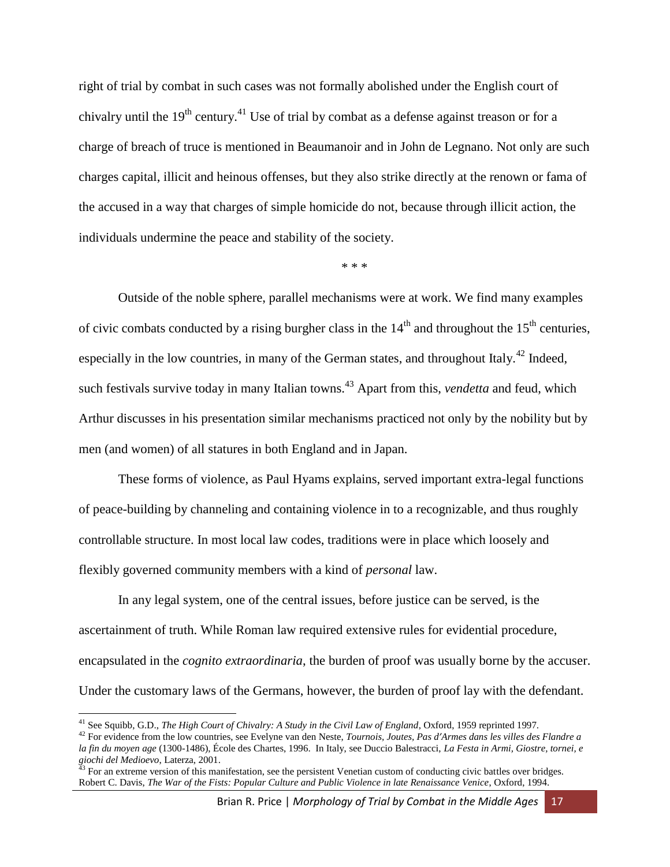right of trial by combat in such cases was not formally abolished under the English court of chivalry until the  $19<sup>th</sup>$  century.<sup>41</sup> Use of trial by combat as a defense against treason or for a charge of breach of truce is mentioned in Beaumanoir and in John de Legnano. Not only are such charges capital, illicit and heinous offenses, but they also strike directly at the renown or fama of the accused in a way that charges of simple homicide do not, because through illicit action, the individuals undermine the peace and stability of the society.

\* \* \*

Outside of the noble sphere, parallel mechanisms were at work. We find many examples of civic combats conducted by a rising burgher class in the  $14<sup>th</sup>$  and throughout the  $15<sup>th</sup>$  centuries, especially in the low countries, in many of the German states, and throughout Italy.<sup>42</sup> Indeed, such festivals survive today in many Italian towns.<sup>43</sup> Apart from this, *vendetta* and feud, which Arthur discusses in his presentation similar mechanisms practiced not only by the nobility but by men (and women) of all statures in both England and in Japan.

These forms of violence, as Paul Hyams explains, served important extra-legal functions of peace-building by channeling and containing violence in to a recognizable, and thus roughly controllable structure. In most local law codes, traditions were in place which loosely and flexibly governed community members with a kind of *personal* law.

In any legal system, one of the central issues, before justice can be served, is the ascertainment of truth. While Roman law required extensive rules for evidential procedure, encapsulated in the *cognito extraordinaria*, the burden of proof was usually borne by the accuser. Under the customary laws of the Germans, however, the burden of proof lay with the defendant.

<sup>41</sup> See Squibb, G.D., *The High Court of Chivalry: A Study in the Civil Law of England*, Oxford, 1959 reprinted 1997.

<sup>42</sup> For evidence from the low countries, see Evelyne van den Neste, *Tournois, Joutes, Pas d'Armes dans les villes des Flandre a la fin du moyen age* (1300-1486), École des Chartes, 1996. In Italy, see Duccio Balestracci, *La Festa in Armi, Giostre, tornei, e giochi del Medioevo*, Laterza, 2001.

 $43$  For an extreme version of this manifestation, see the persistent Venetian custom of conducting civic battles over bridges. Robert C. Davis, *The War of the Fists: Popular Culture and Public Violence in late Renaissance Venice*, Oxford, 1994.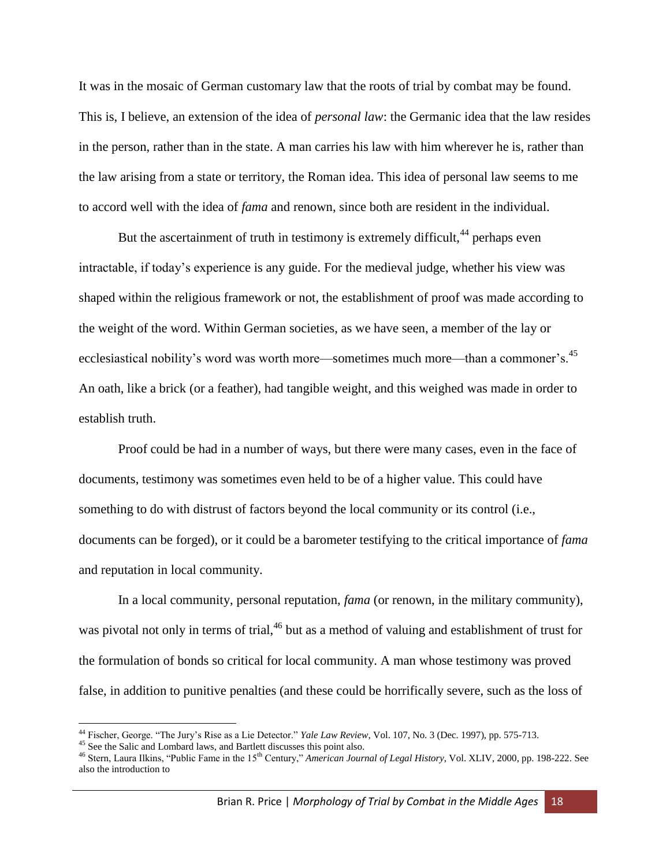It was in the mosaic of German customary law that the roots of trial by combat may be found. This is, I believe, an extension of the idea of *personal law*: the Germanic idea that the law resides in the person, rather than in the state. A man carries his law with him wherever he is, rather than the law arising from a state or territory, the Roman idea. This idea of personal law seems to me to accord well with the idea of *fama* and renown, since both are resident in the individual.

But the ascertainment of truth in testimony is extremely difficult,  $44$  perhaps even intractable, if today's experience is any guide. For the medieval judge, whether his view was shaped within the religious framework or not, the establishment of proof was made according to the weight of the word. Within German societies, as we have seen, a member of the lay or ecclesiastical nobility's word was worth more—sometimes much more—than a commoner's.<sup>45</sup> An oath, like a brick (or a feather), had tangible weight, and this weighed was made in order to establish truth.

Proof could be had in a number of ways, but there were many cases, even in the face of documents, testimony was sometimes even held to be of a higher value. This could have something to do with distrust of factors beyond the local community or its control (i.e., documents can be forged), or it could be a barometer testifying to the critical importance of *fama* and reputation in local community.

In a local community, personal reputation, *fama* (or renown, in the military community), was pivotal not only in terms of trial,<sup>46</sup> but as a method of valuing and establishment of trust for the formulation of bonds so critical for local community. A man whose testimony was proved false, in addition to punitive penalties (and these could be horrifically severe, such as the loss of

l

<sup>44</sup> Fischer, George. "The Jury's Rise as a Lie Detector." *Yale Law Review*, Vol. 107, No. 3 (Dec. 1997), pp. 575-713.

<sup>&</sup>lt;sup>45</sup> See the Salic and Lombard laws, and Bartlett discusses this point also.

<sup>46</sup> Stern, Laura Ilkins, "Public Fame in the 15th Century," *American Journal of Legal History*, Vol. XLIV, 2000, pp. 198-222. See also the introduction to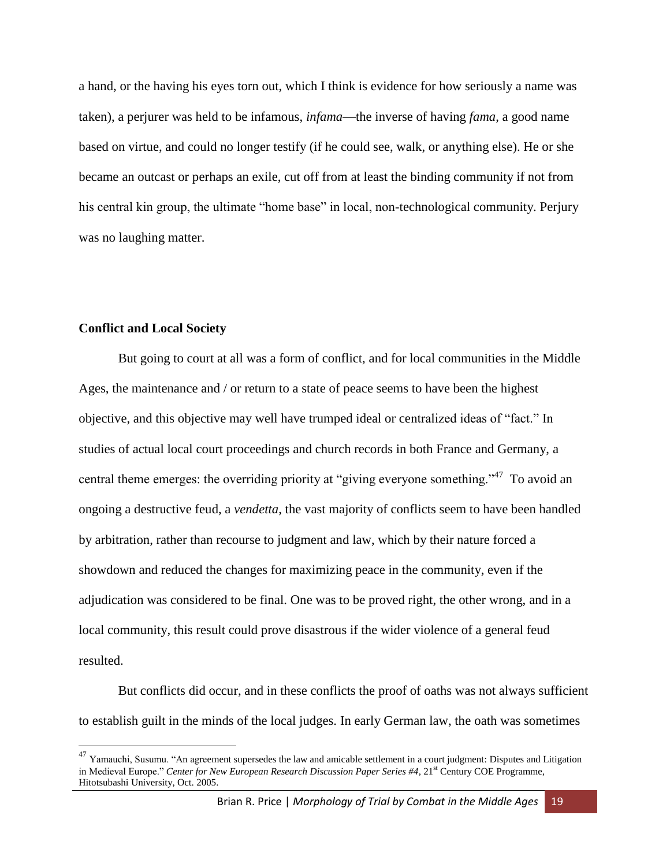a hand, or the having his eyes torn out, which I think is evidence for how seriously a name was taken), a perjurer was held to be infamous, *infama*—the inverse of having *fama*, a good name based on virtue, and could no longer testify (if he could see, walk, or anything else). He or she became an outcast or perhaps an exile, cut off from at least the binding community if not from his central kin group, the ultimate "home base" in local, non-technological community. Perjury was no laughing matter.

# **Conflict and Local Society**

l

But going to court at all was a form of conflict, and for local communities in the Middle Ages, the maintenance and / or return to a state of peace seems to have been the highest objective, and this objective may well have trumped ideal or centralized ideas of "fact." In studies of actual local court proceedings and church records in both France and Germany, a central theme emerges: the overriding priority at "giving everyone something."<sup>47</sup> To avoid an ongoing a destructive feud, a *vendetta*, the vast majority of conflicts seem to have been handled by arbitration, rather than recourse to judgment and law, which by their nature forced a showdown and reduced the changes for maximizing peace in the community, even if the adjudication was considered to be final. One was to be proved right, the other wrong, and in a local community, this result could prove disastrous if the wider violence of a general feud resulted.

But conflicts did occur, and in these conflicts the proof of oaths was not always sufficient to establish guilt in the minds of the local judges. In early German law, the oath was sometimes

 $^{47}$  Yamauchi, Susumu. "An agreement supersedes the law and amicable settlement in a court judgment: Disputes and Litigation in Medieval Europe." *Center for New European Research Discussion Paper Series #4*, 21<sup>st</sup> Century COE Programme, Hitotsubashi University, Oct. 2005.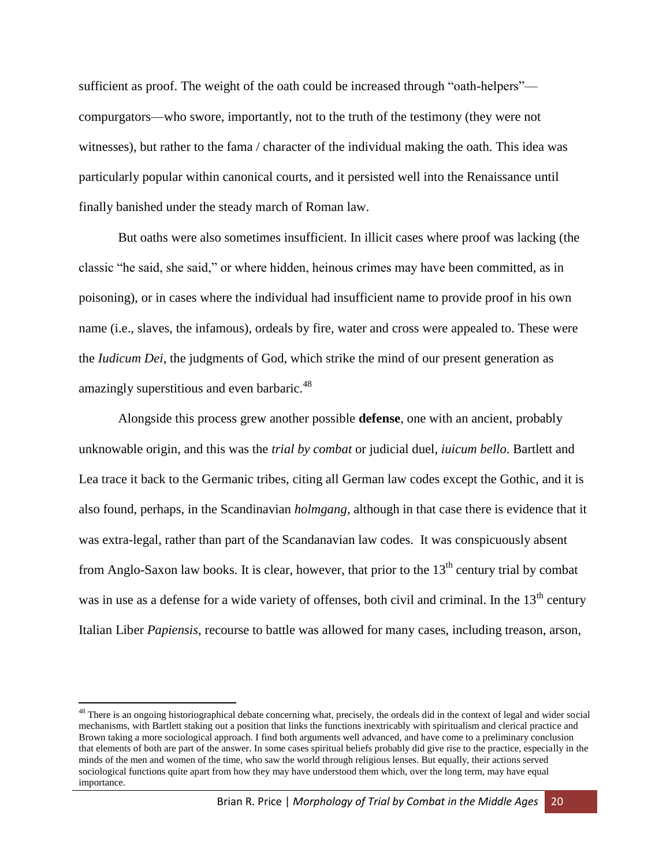sufficient as proof. The weight of the oath could be increased through "oath-helpers" compurgators—who swore, importantly, not to the truth of the testimony (they were not witnesses), but rather to the fama / character of the individual making the oath. This idea was particularly popular within canonical courts, and it persisted well into the Renaissance until finally banished under the steady march of Roman law.

But oaths were also sometimes insufficient. In illicit cases where proof was lacking (the classic "he said, she said," or where hidden, heinous crimes may have been committed, as in poisoning), or in cases where the individual had insufficient name to provide proof in his own name (i.e., slaves, the infamous), ordeals by fire, water and cross were appealed to. These were the *Iudicum Dei*, the judgments of God, which strike the mind of our present generation as amazingly superstitious and even barbaric.<sup>48</sup>

Alongside this process grew another possible **defense**, one with an ancient, probably unknowable origin, and this was the *trial by combat* or judicial duel, *iuicum bello*. Bartlett and Lea trace it back to the Germanic tribes, citing all German law codes except the Gothic, and it is also found, perhaps, in the Scandinavian *holmgang*, although in that case there is evidence that it was extra-legal, rather than part of the Scandanavian law codes. It was conspicuously absent from Anglo-Saxon law books. It is clear, however, that prior to the  $13<sup>th</sup>$  century trial by combat was in use as a defense for a wide variety of offenses, both civil and criminal. In the  $13<sup>th</sup>$  century Italian Liber *Papiensis*, recourse to battle was allowed for many cases, including treason, arson,

 $\overline{a}$ 

<sup>&</sup>lt;sup>48</sup> There is an ongoing historiographical debate concerning what, precisely, the ordeals did in the context of legal and wider social mechanisms, with Bartlett staking out a position that links the functions inextricably with spiritualism and clerical practice and Brown taking a more sociological approach. I find both arguments well advanced, and have come to a preliminary conclusion that elements of both are part of the answer. In some cases spiritual beliefs probably did give rise to the practice, especially in the minds of the men and women of the time, who saw the world through religious lenses. But equally, their actions served sociological functions quite apart from how they may have understood them which, over the long term, may have equal importance.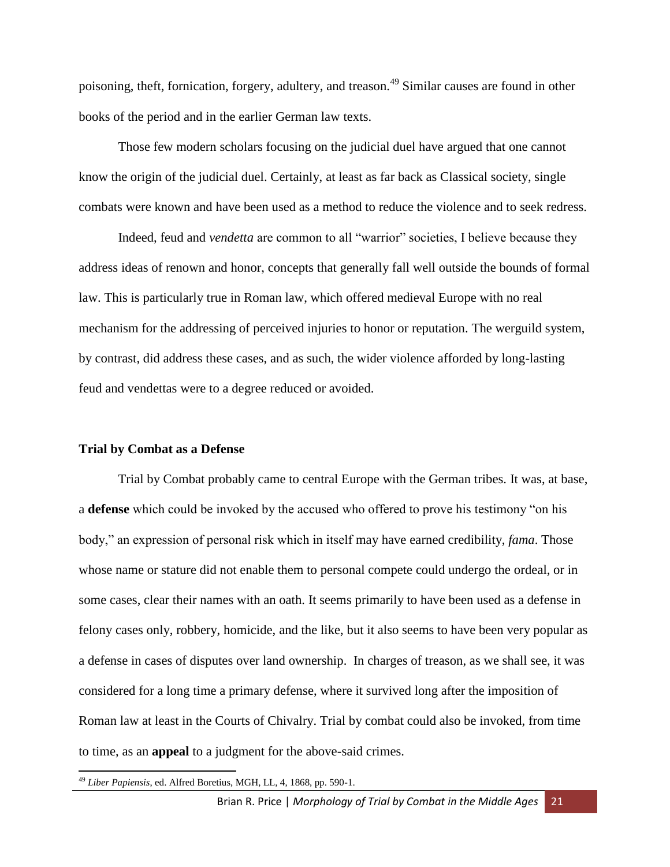poisoning, theft, fornication, forgery, adultery, and treason.<sup>49</sup> Similar causes are found in other books of the period and in the earlier German law texts.

Those few modern scholars focusing on the judicial duel have argued that one cannot know the origin of the judicial duel. Certainly, at least as far back as Classical society, single combats were known and have been used as a method to reduce the violence and to seek redress.

Indeed, feud and *vendetta* are common to all "warrior" societies, I believe because they address ideas of renown and honor, concepts that generally fall well outside the bounds of formal law. This is particularly true in Roman law, which offered medieval Europe with no real mechanism for the addressing of perceived injuries to honor or reputation. The werguild system, by contrast, did address these cases, and as such, the wider violence afforded by long-lasting feud and vendettas were to a degree reduced or avoided.

#### **Trial by Combat as a Defense**

Trial by Combat probably came to central Europe with the German tribes. It was, at base, a **defense** which could be invoked by the accused who offered to prove his testimony "on his body," an expression of personal risk which in itself may have earned credibility, *fama*. Those whose name or stature did not enable them to personal compete could undergo the ordeal, or in some cases, clear their names with an oath. It seems primarily to have been used as a defense in felony cases only, robbery, homicide, and the like, but it also seems to have been very popular as a defense in cases of disputes over land ownership. In charges of treason, as we shall see, it was considered for a long time a primary defense, where it survived long after the imposition of Roman law at least in the Courts of Chivalry. Trial by combat could also be invoked, from time to time, as an **appeal** to a judgment for the above-said crimes.

<sup>49</sup> *Liber Papiensis*, ed. Alfred Boretius, MGH, LL, 4, 1868, pp. 590-1.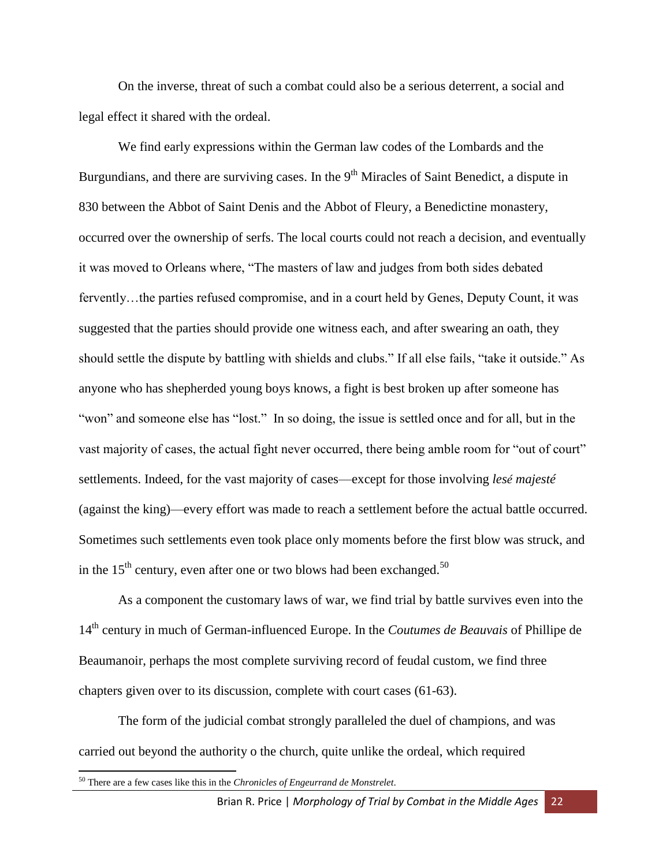On the inverse, threat of such a combat could also be a serious deterrent, a social and legal effect it shared with the ordeal.

We find early expressions within the German law codes of the Lombards and the Burgundians, and there are surviving cases. In the 9<sup>th</sup> Miracles of Saint Benedict, a dispute in 830 between the Abbot of Saint Denis and the Abbot of Fleury, a Benedictine monastery, occurred over the ownership of serfs. The local courts could not reach a decision, and eventually it was moved to Orleans where, "The masters of law and judges from both sides debated fervently…the parties refused compromise, and in a court held by Genes, Deputy Count, it was suggested that the parties should provide one witness each, and after swearing an oath, they should settle the dispute by battling with shields and clubs." If all else fails, "take it outside." As anyone who has shepherded young boys knows, a fight is best broken up after someone has "won" and someone else has "lost." In so doing, the issue is settled once and for all, but in the vast majority of cases, the actual fight never occurred, there being amble room for "out of court" settlements. Indeed, for the vast majority of cases—except for those involving *lesé majesté* (against the king)—every effort was made to reach a settlement before the actual battle occurred. Sometimes such settlements even took place only moments before the first blow was struck, and in the  $15<sup>th</sup>$  century, even after one or two blows had been exchanged.<sup>50</sup>

As a component the customary laws of war, we find trial by battle survives even into the 14th century in much of German-influenced Europe. In the *Coutumes de Beauvais* of Phillipe de Beaumanoir, perhaps the most complete surviving record of feudal custom, we find three chapters given over to its discussion, complete with court cases (61-63).

The form of the judicial combat strongly paralleled the duel of champions, and was carried out beyond the authority o the church, quite unlike the ordeal, which required

<sup>50</sup> There are a few cases like this in the *Chronicles of Engeurrand de Monstrelet*.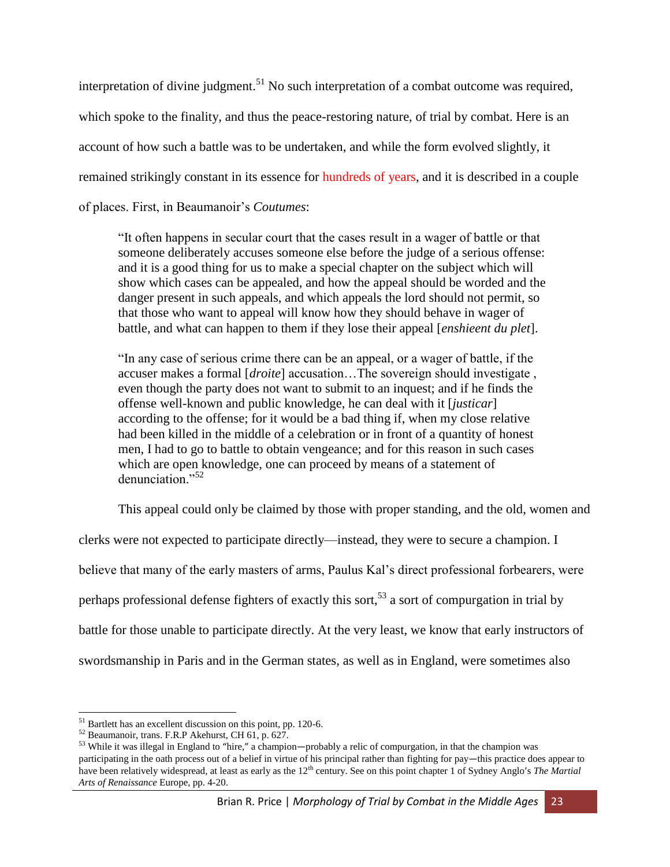interpretation of divine judgment.<sup>51</sup> No such interpretation of a combat outcome was required, which spoke to the finality, and thus the peace-restoring nature, of trial by combat. Here is an account of how such a battle was to be undertaken, and while the form evolved slightly, it remained strikingly constant in its essence for hundreds of years, and it is described in a couple of places. First, in Beaumanoir's *Coutumes*:

"It often happens in secular court that the cases result in a wager of battle or that someone deliberately accuses someone else before the judge of a serious offense: and it is a good thing for us to make a special chapter on the subject which will show which cases can be appealed, and how the appeal should be worded and the danger present in such appeals, and which appeals the lord should not permit, so that those who want to appeal will know how they should behave in wager of battle, and what can happen to them if they lose their appeal [*enshieent du plet*].

"In any case of serious crime there can be an appeal, or a wager of battle, if the accuser makes a formal [*droite*] accusation…The sovereign should investigate , even though the party does not want to submit to an inquest; and if he finds the offense well-known and public knowledge, he can deal with it [*justicar*] according to the offense; for it would be a bad thing if, when my close relative had been killed in the middle of a celebration or in front of a quantity of honest men, I had to go to battle to obtain vengeance; and for this reason in such cases which are open knowledge, one can proceed by means of a statement of denunciation<sup>"</sup>

This appeal could only be claimed by those with proper standing, and the old, women and

clerks were not expected to participate directly—instead, they were to secure a champion. I

believe that many of the early masters of arms, Paulus Kal's direct professional forbearers, were

perhaps professional defense fighters of exactly this sort,<sup>53</sup> a sort of compurgation in trial by

battle for those unable to participate directly. At the very least, we know that early instructors of

swordsmanship in Paris and in the German states, as well as in England, were sometimes also

<sup>&</sup>lt;sup>51</sup> Bartlett has an excellent discussion on this point, pp. 120-6.

<sup>52</sup> Beaumanoir, trans. F.R.P Akehurst, CH 61, p. 627.

<sup>&</sup>lt;sup>53</sup> While it was illegal in England to "hire," a champion—probably a relic of compurgation, in that the champion was participating in the oath process out of a belief in virtue of his principal rather than fighting for pay—this practice does appear to have been relatively widespread, at least as early as the 12<sup>th</sup> century. See on this point chapter 1 of Sydney Anglo's *The Martial Arts of Renaissance* Europe, pp. 4-20.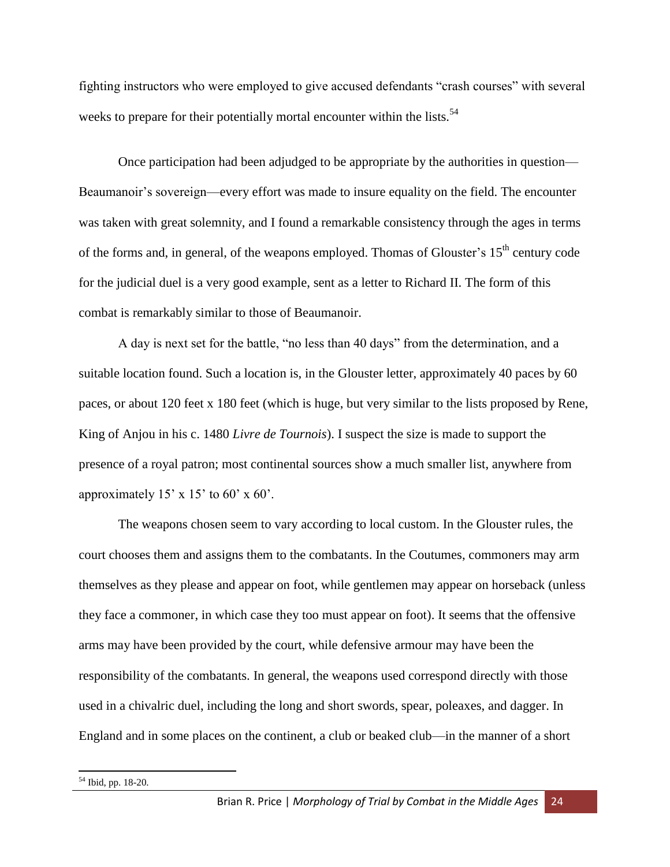fighting instructors who were employed to give accused defendants "crash courses" with several weeks to prepare for their potentially mortal encounter within the lists.<sup>54</sup>

Once participation had been adjudged to be appropriate by the authorities in question— Beaumanoir's sovereign—every effort was made to insure equality on the field. The encounter was taken with great solemnity, and I found a remarkable consistency through the ages in terms of the forms and, in general, of the weapons employed. Thomas of Glouster's  $15<sup>th</sup>$  century code for the judicial duel is a very good example, sent as a letter to Richard II. The form of this combat is remarkably similar to those of Beaumanoir.

A day is next set for the battle, "no less than 40 days" from the determination, and a suitable location found. Such a location is, in the Glouster letter, approximately 40 paces by 60 paces, or about 120 feet x 180 feet (which is huge, but very similar to the lists proposed by Rene, King of Anjou in his c. 1480 *Livre de Tournois*). I suspect the size is made to support the presence of a royal patron; most continental sources show a much smaller list, anywhere from approximately  $15' \times 15'$  to  $60' \times 60'$ .

The weapons chosen seem to vary according to local custom. In the Glouster rules, the court chooses them and assigns them to the combatants. In the Coutumes, commoners may arm themselves as they please and appear on foot, while gentlemen may appear on horseback (unless they face a commoner, in which case they too must appear on foot). It seems that the offensive arms may have been provided by the court, while defensive armour may have been the responsibility of the combatants. In general, the weapons used correspond directly with those used in a chivalric duel, including the long and short swords, spear, poleaxes, and dagger. In England and in some places on the continent, a club or beaked club—in the manner of a short

<sup>54</sup> Ibid, pp. 18-20.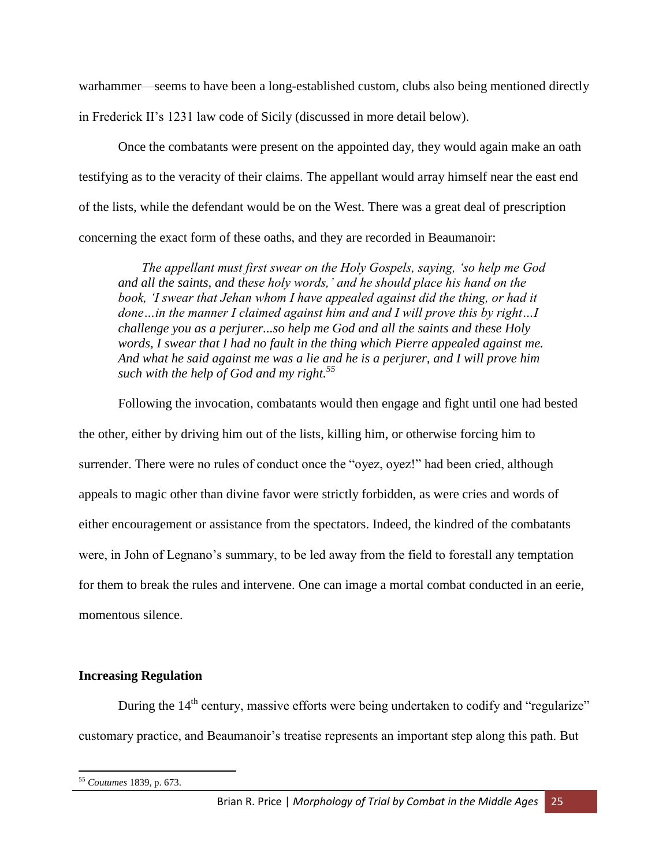warhammer—seems to have been a long-established custom, clubs also being mentioned directly in Frederick II's 1231 law code of Sicily (discussed in more detail below).

Once the combatants were present on the appointed day, they would again make an oath testifying as to the veracity of their claims. The appellant would array himself near the east end of the lists, while the defendant would be on the West. There was a great deal of prescription concerning the exact form of these oaths, and they are recorded in Beaumanoir:

*The appellant must first swear on the Holy Gospels, saying, 'so help me God and all the saints, and these holy words,' and he should place his hand on the*  book, 'I swear that Jehan whom I have appealed against did the thing, or had it *done…in the manner I claimed against him and and I will prove this by right…I challenge you as a perjurer...so help me God and all the saints and these Holy*  words, I swear that I had no fault in the thing which Pierre appealed against me. *And what he said against me was a lie and he is a perjurer, and I will prove him such with the help of God and my right.<sup>55</sup>*

Following the invocation, combatants would then engage and fight until one had bested the other, either by driving him out of the lists, killing him, or otherwise forcing him to surrender. There were no rules of conduct once the "oyez, oyez!" had been cried, although appeals to magic other than divine favor were strictly forbidden, as were cries and words of either encouragement or assistance from the spectators. Indeed, the kindred of the combatants were, in John of Legnano's summary, to be led away from the field to forestall any temptation for them to break the rules and intervene. One can image a mortal combat conducted in an eerie, momentous silence.

# **Increasing Regulation**

During the  $14<sup>th</sup>$  century, massive efforts were being undertaken to codify and "regularize" customary practice, and Beaumanoir's treatise represents an important step along this path. But

 $\overline{\phantom{a}}$ <sup>55</sup> *Coutumes* 1839, p. 673.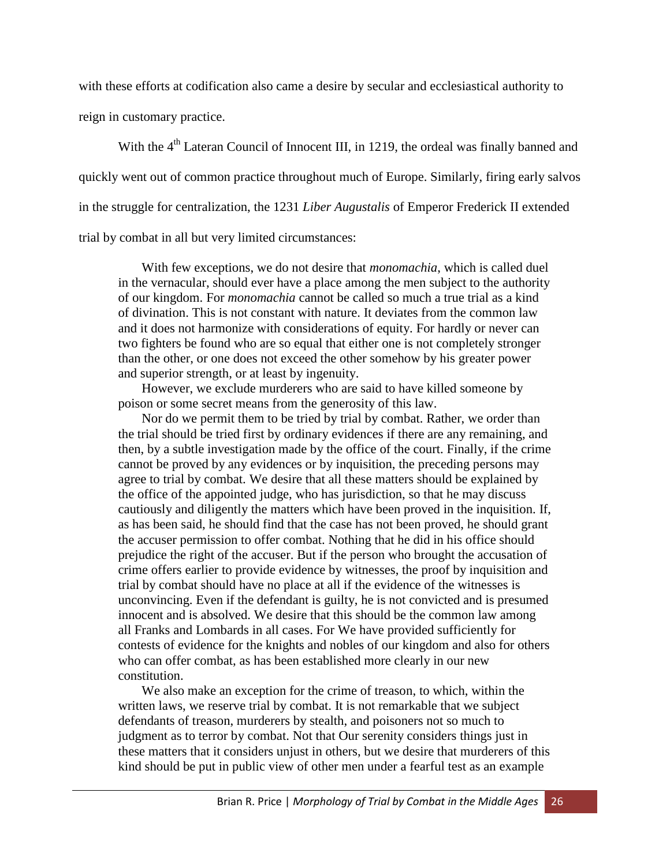with these efforts at codification also came a desire by secular and ecclesiastical authority to

reign in customary practice.

With the 4<sup>th</sup> Lateran Council of Innocent III, in 1219, the ordeal was finally banned and quickly went out of common practice throughout much of Europe. Similarly, firing early salvos in the struggle for centralization, the 1231 *Liber Augustalis* of Emperor Frederick II extended trial by combat in all but very limited circumstances:

With few exceptions, we do not desire that *monomachia*, which is called duel in the vernacular, should ever have a place among the men subject to the authority of our kingdom. For *monomachia* cannot be called so much a true trial as a kind of divination. This is not constant with nature. It deviates from the common law and it does not harmonize with considerations of equity. For hardly or never can two fighters be found who are so equal that either one is not completely stronger than the other, or one does not exceed the other somehow by his greater power and superior strength, or at least by ingenuity.

However, we exclude murderers who are said to have killed someone by poison or some secret means from the generosity of this law.

Nor do we permit them to be tried by trial by combat. Rather, we order than the trial should be tried first by ordinary evidences if there are any remaining, and then, by a subtle investigation made by the office of the court. Finally, if the crime cannot be proved by any evidences or by inquisition, the preceding persons may agree to trial by combat. We desire that all these matters should be explained by the office of the appointed judge, who has jurisdiction, so that he may discuss cautiously and diligently the matters which have been proved in the inquisition. If, as has been said, he should find that the case has not been proved, he should grant the accuser permission to offer combat. Nothing that he did in his office should prejudice the right of the accuser. But if the person who brought the accusation of crime offers earlier to provide evidence by witnesses, the proof by inquisition and trial by combat should have no place at all if the evidence of the witnesses is unconvincing. Even if the defendant is guilty, he is not convicted and is presumed innocent and is absolved. We desire that this should be the common law among all Franks and Lombards in all cases. For We have provided sufficiently for contests of evidence for the knights and nobles of our kingdom and also for others who can offer combat, as has been established more clearly in our new constitution.

We also make an exception for the crime of treason, to which, within the written laws, we reserve trial by combat. It is not remarkable that we subject defendants of treason, murderers by stealth, and poisoners not so much to judgment as to terror by combat. Not that Our serenity considers things just in these matters that it considers unjust in others, but we desire that murderers of this kind should be put in public view of other men under a fearful test as an example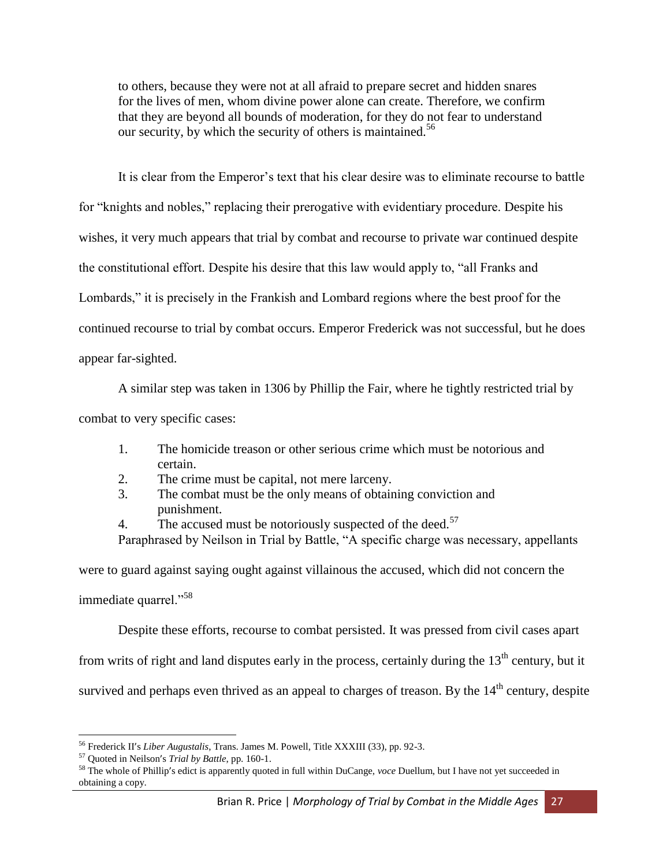to others, because they were not at all afraid to prepare secret and hidden snares for the lives of men, whom divine power alone can create. Therefore, we confirm that they are beyond all bounds of moderation, for they do not fear to understand our security, by which the security of others is maintained.<sup>56</sup>

It is clear from the Emperor's text that his clear desire was to eliminate recourse to battle for "knights and nobles," replacing their prerogative with evidentiary procedure. Despite his wishes, it very much appears that trial by combat and recourse to private war continued despite the constitutional effort. Despite his desire that this law would apply to, "all Franks and Lombards," it is precisely in the Frankish and Lombard regions where the best proof for the continued recourse to trial by combat occurs. Emperor Frederick was not successful, but he does appear far-sighted.

A similar step was taken in 1306 by Phillip the Fair, where he tightly restricted trial by combat to very specific cases:

- 1. The homicide treason or other serious crime which must be notorious and certain.
- 2. The crime must be capital, not mere larceny.
- 3. The combat must be the only means of obtaining conviction and punishment.
- 4. The accused must be notoriously suspected of the deed.<sup>57</sup>
- Paraphrased by Neilson in Trial by Battle, "A specific charge was necessary, appellants

were to guard against saying ought against villainous the accused, which did not concern the immediate quarrel."<sup>58</sup>

Despite these efforts, recourse to combat persisted. It was pressed from civil cases apart

from writs of right and land disputes early in the process, certainly during the  $13<sup>th</sup>$  century, but it

survived and perhaps even thrived as an appeal to charges of treason. By the  $14<sup>th</sup>$  century, despite

<sup>56</sup> Frederick II's *Liber Augustalis*, Trans. James M. Powell, Title XXXIII (33), pp. 92-3.

<sup>57</sup> Quoted in Neilson's *Trial by Battle*, pp. 160-1.

<sup>58</sup> The whole of Phillip's edict is apparently quoted in full within DuCange, *voce* Duellum, but I have not yet succeeded in obtaining a copy.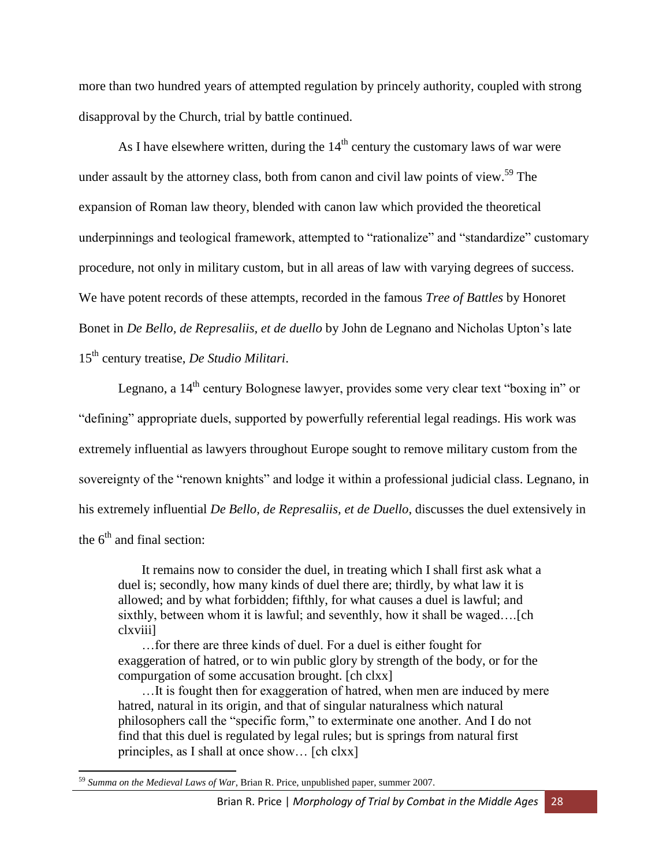more than two hundred years of attempted regulation by princely authority, coupled with strong disapproval by the Church, trial by battle continued.

As I have elsewhere written, during the  $14<sup>th</sup>$  century the customary laws of war were under assault by the attorney class, both from canon and civil law points of view.<sup>59</sup> The expansion of Roman law theory, blended with canon law which provided the theoretical underpinnings and teological framework, attempted to "rationalize" and "standardize" customary procedure, not only in military custom, but in all areas of law with varying degrees of success. We have potent records of these attempts, recorded in the famous *Tree of Battles* by Honoret Bonet in *De Bello, de Represaliis, et de duello* by John de Legnano and Nicholas Upton's late 15 th century treatise, *De Studio Militari*.

Legnano, a  $14<sup>th</sup>$  century Bolognese lawyer, provides some very clear text "boxing in" or "defining" appropriate duels, supported by powerfully referential legal readings. His work was extremely influential as lawyers throughout Europe sought to remove military custom from the sovereignty of the "renown knights" and lodge it within a professional judicial class. Legnano, in his extremely influential *De Bello, de Represaliis, et de Duello*, discusses the duel extensively in the  $6<sup>th</sup>$  and final section:

It remains now to consider the duel, in treating which I shall first ask what a duel is; secondly, how many kinds of duel there are; thirdly, by what law it is allowed; and by what forbidden; fifthly, for what causes a duel is lawful; and sixthly, between whom it is lawful; and seventhly, how it shall be waged….[ch clxviii]

…for there are three kinds of duel. For a duel is either fought for exaggeration of hatred, or to win public glory by strength of the body, or for the compurgation of some accusation brought. [ch clxx]

…It is fought then for exaggeration of hatred, when men are induced by mere hatred, natural in its origin, and that of singular naturalness which natural philosophers call the "specific form," to exterminate one another. And I do not find that this duel is regulated by legal rules; but is springs from natural first principles, as I shall at once show… [ch clxx]

 $\overline{\phantom{a}}$ <sup>59</sup> *Summa on the Medieval Laws of War*, Brian R. Price, unpublished paper, summer 2007.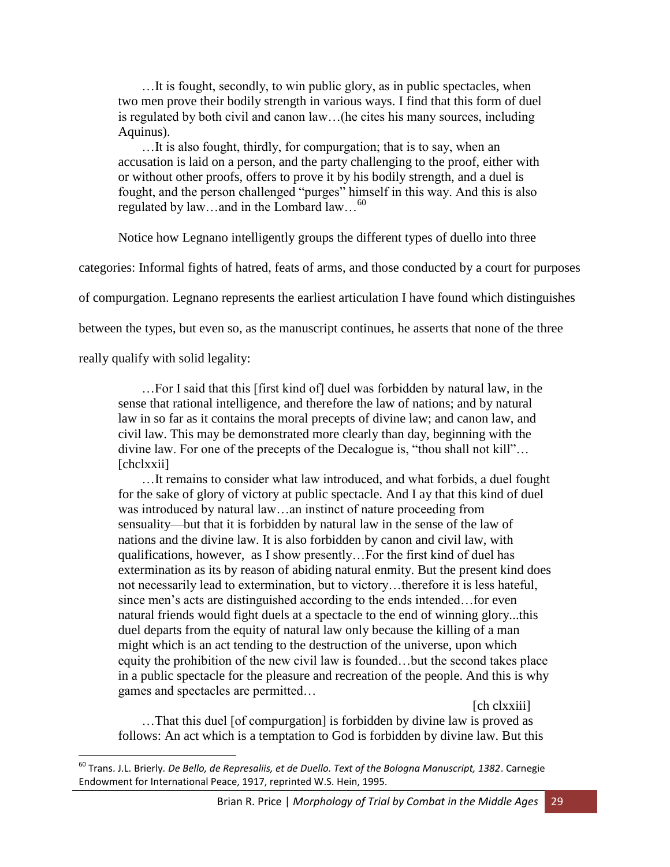…It is fought, secondly, to win public glory, as in public spectacles, when two men prove their bodily strength in various ways. I find that this form of duel is regulated by both civil and canon law…(he cites his many sources, including Aquinus).

…It is also fought, thirdly, for compurgation; that is to say, when an accusation is laid on a person, and the party challenging to the proof, either with or without other proofs, offers to prove it by his bodily strength, and a duel is fought, and the person challenged "purges" himself in this way. And this is also regulated by law…and in the Lombard law…<sup>60</sup>

Notice how Legnano intelligently groups the different types of duello into three

categories: Informal fights of hatred, feats of arms, and those conducted by a court for purposes

of compurgation. Legnano represents the earliest articulation I have found which distinguishes

between the types, but even so, as the manuscript continues, he asserts that none of the three

really qualify with solid legality:

l

…For I said that this [first kind of] duel was forbidden by natural law, in the sense that rational intelligence, and therefore the law of nations; and by natural law in so far as it contains the moral precepts of divine law; and canon law, and civil law. This may be demonstrated more clearly than day, beginning with the divine law. For one of the precepts of the Decalogue is, "thou shall not kill"… [chclxxii]

…It remains to consider what law introduced, and what forbids, a duel fought for the sake of glory of victory at public spectacle. And I ay that this kind of duel was introduced by natural law…an instinct of nature proceeding from sensuality—but that it is forbidden by natural law in the sense of the law of nations and the divine law. It is also forbidden by canon and civil law, with qualifications, however, as I show presently…For the first kind of duel has extermination as its by reason of abiding natural enmity. But the present kind does not necessarily lead to extermination, but to victory…therefore it is less hateful, since men's acts are distinguished according to the ends intended…for even natural friends would fight duels at a spectacle to the end of winning glory...this duel departs from the equity of natural law only because the killing of a man might which is an act tending to the destruction of the universe, upon which equity the prohibition of the new civil law is founded…but the second takes place in a public spectacle for the pleasure and recreation of the people. And this is why games and spectacles are permitted…

[ch clxxiii]

…That this duel [of compurgation] is forbidden by divine law is proved as follows: An act which is a temptation to God is forbidden by divine law. But this

<sup>60</sup> Trans. J.L. Brierly*. De Bello, de Represaliis, et de Duello. Text of the Bologna Manuscript, 1382*. Carnegie Endowment for International Peace, 1917, reprinted W.S. Hein, 1995.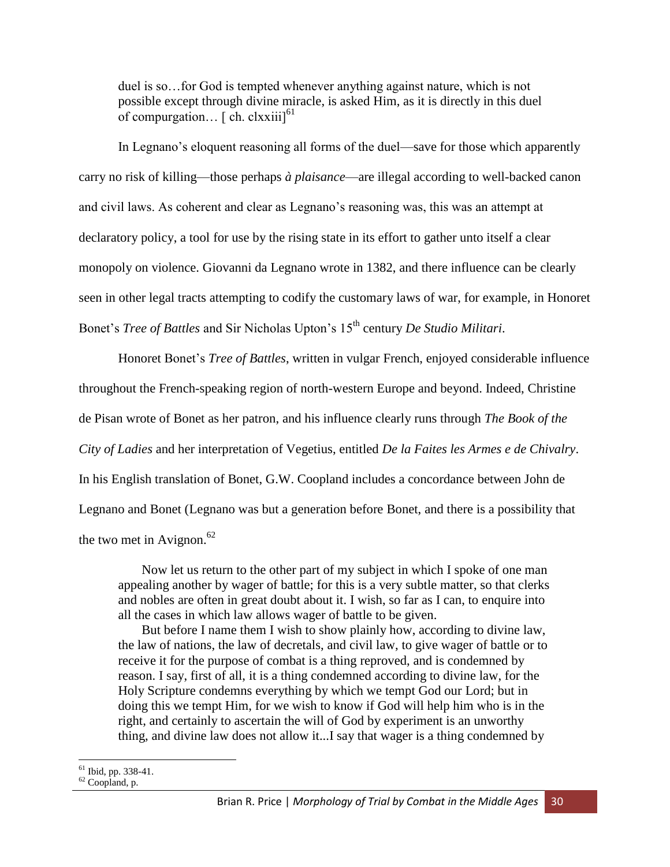duel is so…for God is tempted whenever anything against nature, which is not possible except through divine miracle, is asked Him, as it is directly in this duel of compurgation...  $\lceil$  ch. clxxiii $\rceil^{61}$ 

In Legnano's eloquent reasoning all forms of the duel—save for those which apparently carry no risk of killing—those perhaps *à plaisance*—are illegal according to well-backed canon and civil laws. As coherent and clear as Legnano's reasoning was, this was an attempt at declaratory policy, a tool for use by the rising state in its effort to gather unto itself a clear monopoly on violence. Giovanni da Legnano wrote in 1382, and there influence can be clearly seen in other legal tracts attempting to codify the customary laws of war, for example, in Honoret Bonet's *Tree of Battles* and Sir Nicholas Upton's 15th century *De Studio Militari*.

Honoret Bonet's *Tree of Battles*, written in vulgar French, enjoyed considerable influence throughout the French-speaking region of north-western Europe and beyond. Indeed, Christine de Pisan wrote of Bonet as her patron, and his influence clearly runs through *The Book of the City of Ladies* and her interpretation of Vegetius, entitled *De la Faites les Armes e de Chivalry*. In his English translation of Bonet, G.W. Coopland includes a concordance between John de Legnano and Bonet (Legnano was but a generation before Bonet, and there is a possibility that the two met in Avignon. $62$ 

Now let us return to the other part of my subject in which I spoke of one man appealing another by wager of battle; for this is a very subtle matter, so that clerks and nobles are often in great doubt about it. I wish, so far as I can, to enquire into all the cases in which law allows wager of battle to be given.

But before I name them I wish to show plainly how, according to divine law, the law of nations, the law of decretals, and civil law, to give wager of battle or to receive it for the purpose of combat is a thing reproved, and is condemned by reason. I say, first of all, it is a thing condemned according to divine law, for the Holy Scripture condemns everything by which we tempt God our Lord; but in doing this we tempt Him, for we wish to know if God will help him who is in the right, and certainly to ascertain the will of God by experiment is an unworthy thing, and divine law does not allow it...I say that wager is a thing condemned by

 $\overline{a}$  $61$  Ibid, pp. 338-41.

<sup>62</sup> Coopland, p.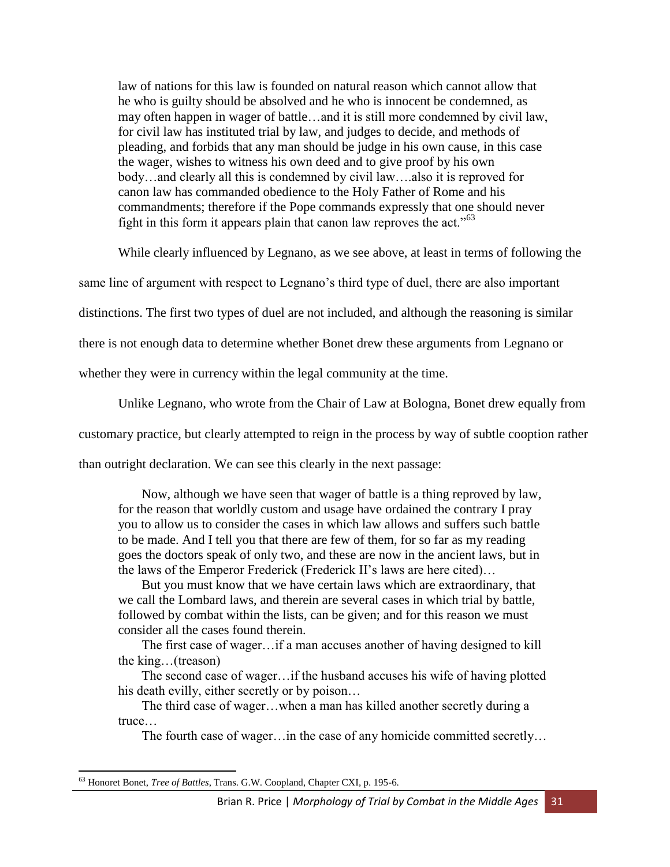law of nations for this law is founded on natural reason which cannot allow that he who is guilty should be absolved and he who is innocent be condemned, as may often happen in wager of battle…and it is still more condemned by civil law, for civil law has instituted trial by law, and judges to decide, and methods of pleading, and forbids that any man should be judge in his own cause, in this case the wager, wishes to witness his own deed and to give proof by his own body…and clearly all this is condemned by civil law….also it is reproved for canon law has commanded obedience to the Holy Father of Rome and his commandments; therefore if the Pope commands expressly that one should never fight in this form it appears plain that canon law reproves the act." $63$ 

While clearly influenced by Legnano, as we see above, at least in terms of following the

same line of argument with respect to Legnano's third type of duel, there are also important

distinctions. The first two types of duel are not included, and although the reasoning is similar

there is not enough data to determine whether Bonet drew these arguments from Legnano or

whether they were in currency within the legal community at the time.

Unlike Legnano, who wrote from the Chair of Law at Bologna, Bonet drew equally from

customary practice, but clearly attempted to reign in the process by way of subtle cooption rather

than outright declaration. We can see this clearly in the next passage:

Now, although we have seen that wager of battle is a thing reproved by law, for the reason that worldly custom and usage have ordained the contrary I pray you to allow us to consider the cases in which law allows and suffers such battle to be made. And I tell you that there are few of them, for so far as my reading goes the doctors speak of only two, and these are now in the ancient laws, but in the laws of the Emperor Frederick (Frederick II's laws are here cited)…

But you must know that we have certain laws which are extraordinary, that we call the Lombard laws, and therein are several cases in which trial by battle, followed by combat within the lists, can be given; and for this reason we must consider all the cases found therein.

The first case of wager…if a man accuses another of having designed to kill the king…(treason)

The second case of wager…if the husband accuses his wife of having plotted his death evilly, either secretly or by poison…

The third case of wager…when a man has killed another secretly during a truce…

The fourth case of wager…in the case of any homicide committed secretly…

 $\overline{\phantom{a}}$ <sup>63</sup> Honoret Bonet, *Tree of Battles*, Trans. G.W. Coopland, Chapter CXI, p. 195-6.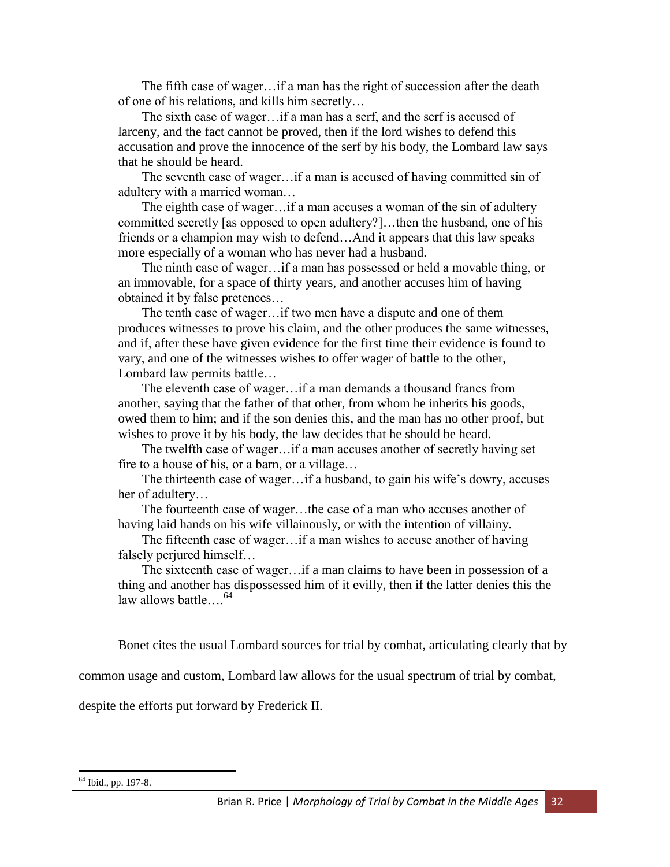The fifth case of wager…if a man has the right of succession after the death of one of his relations, and kills him secretly…

The sixth case of wager…if a man has a serf, and the serf is accused of larceny, and the fact cannot be proved, then if the lord wishes to defend this accusation and prove the innocence of the serf by his body, the Lombard law says that he should be heard.

The seventh case of wager…if a man is accused of having committed sin of adultery with a married woman…

The eighth case of wager…if a man accuses a woman of the sin of adultery committed secretly [as opposed to open adultery?]…then the husband, one of his friends or a champion may wish to defend…And it appears that this law speaks more especially of a woman who has never had a husband.

The ninth case of wager…if a man has possessed or held a movable thing, or an immovable, for a space of thirty years, and another accuses him of having obtained it by false pretences…

The tenth case of wager…if two men have a dispute and one of them produces witnesses to prove his claim, and the other produces the same witnesses, and if, after these have given evidence for the first time their evidence is found to vary, and one of the witnesses wishes to offer wager of battle to the other, Lombard law permits battle…

The eleventh case of wager…if a man demands a thousand francs from another, saying that the father of that other, from whom he inherits his goods, owed them to him; and if the son denies this, and the man has no other proof, but wishes to prove it by his body, the law decides that he should be heard.

The twelfth case of wager…if a man accuses another of secretly having set fire to a house of his, or a barn, or a village…

The thirteenth case of wager…if a husband, to gain his wife's dowry, accuses her of adultery…

The fourteenth case of wager…the case of a man who accuses another of having laid hands on his wife villainously, or with the intention of villainy.

The fifteenth case of wager…if a man wishes to accuse another of having falsely periured himself...

The sixteenth case of wager…if a man claims to have been in possession of a thing and another has dispossessed him of it evilly, then if the latter denies this the law allows battle  $\frac{64}{5}$ 

Bonet cites the usual Lombard sources for trial by combat, articulating clearly that by

common usage and custom, Lombard law allows for the usual spectrum of trial by combat,

despite the efforts put forward by Frederick II.

<sup>64</sup> Ibid., pp. 197-8.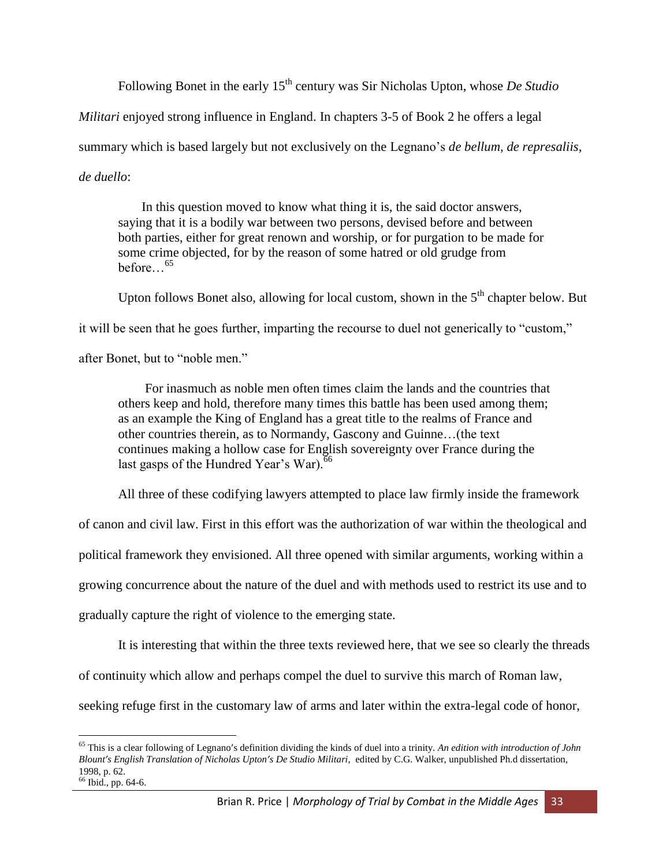Following Bonet in the early 15<sup>th</sup> century was Sir Nicholas Upton, whose *De Studio* 

*Militari* enjoyed strong influence in England. In chapters 3-5 of Book 2 he offers a legal

summary which is based largely but not exclusively on the Legnano's *de bellum, de represaliis,* 

*de duello*:

In this question moved to know what thing it is, the said doctor answers, saying that it is a bodily war between two persons, devised before and between both parties, either for great renown and worship, or for purgation to be made for some crime objected, for by the reason of some hatred or old grudge from before…<sup>65</sup>

Upton follows Bonet also, allowing for local custom, shown in the  $5<sup>th</sup>$  chapter below. But

it will be seen that he goes further, imparting the recourse to duel not generically to "custom,"

after Bonet, but to "noble men."

For inasmuch as noble men often times claim the lands and the countries that others keep and hold, therefore many times this battle has been used among them; as an example the King of England has a great title to the realms of France and other countries therein, as to Normandy, Gascony and Guinne…(the text continues making a hollow case for English sovereignty over France during the last gasps of the Hundred Year's War).<sup>66</sup>

All three of these codifying lawyers attempted to place law firmly inside the framework

of canon and civil law. First in this effort was the authorization of war within the theological and

political framework they envisioned. All three opened with similar arguments, working within a

growing concurrence about the nature of the duel and with methods used to restrict its use and to

gradually capture the right of violence to the emerging state.

It is interesting that within the three texts reviewed here, that we see so clearly the threads

of continuity which allow and perhaps compel the duel to survive this march of Roman law,

seeking refuge first in the customary law of arms and later within the extra-legal code of honor,

<sup>65</sup> This is a clear following of Legnano's definition dividing the kinds of duel into a trinity. *An edition with introduction of John Blount's English Translation of Nicholas Upton's De Studio Militari*, edited by C.G. Walker, unpublished Ph.d dissertation, 1998, p. 62.

<sup>66</sup> Ibid., pp. 64-6.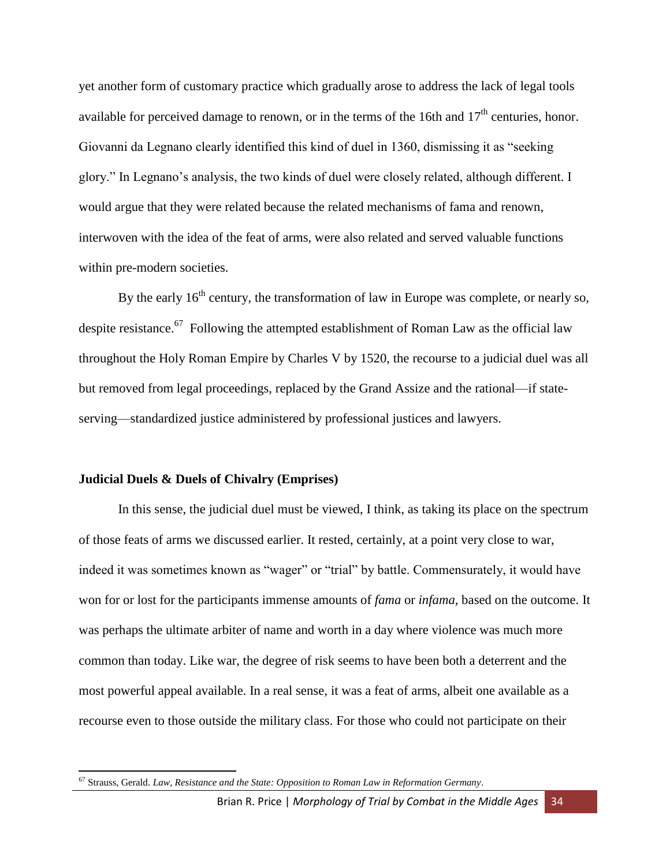yet another form of customary practice which gradually arose to address the lack of legal tools available for perceived damage to renown, or in the terms of the 16th and  $17<sup>th</sup>$  centuries, honor. Giovanni da Legnano clearly identified this kind of duel in 1360, dismissing it as "seeking glory." In Legnano's analysis, the two kinds of duel were closely related, although different. I would argue that they were related because the related mechanisms of fama and renown, interwoven with the idea of the feat of arms, were also related and served valuable functions within pre-modern societies.

By the early  $16<sup>th</sup>$  century, the transformation of law in Europe was complete, or nearly so, despite resistance.<sup>67</sup> Following the attempted establishment of Roman Law as the official law throughout the Holy Roman Empire by Charles V by 1520, the recourse to a judicial duel was all but removed from legal proceedings, replaced by the Grand Assize and the rational—if stateserving—standardized justice administered by professional justices and lawyers.

# **Judicial Duels & Duels of Chivalry (Emprises)**

 $\overline{\phantom{a}}$ 

In this sense, the judicial duel must be viewed, I think, as taking its place on the spectrum of those feats of arms we discussed earlier. It rested, certainly, at a point very close to war, indeed it was sometimes known as "wager" or "trial" by battle. Commensurately, it would have won for or lost for the participants immense amounts of *fama* or *infama*, based on the outcome. It was perhaps the ultimate arbiter of name and worth in a day where violence was much more common than today. Like war, the degree of risk seems to have been both a deterrent and the most powerful appeal available. In a real sense, it was a feat of arms, albeit one available as a recourse even to those outside the military class. For those who could not participate on their

<sup>67</sup> Strauss, Gerald. *Law, Resistance and the State: Opposition to Roman Law in Reformation Germany*.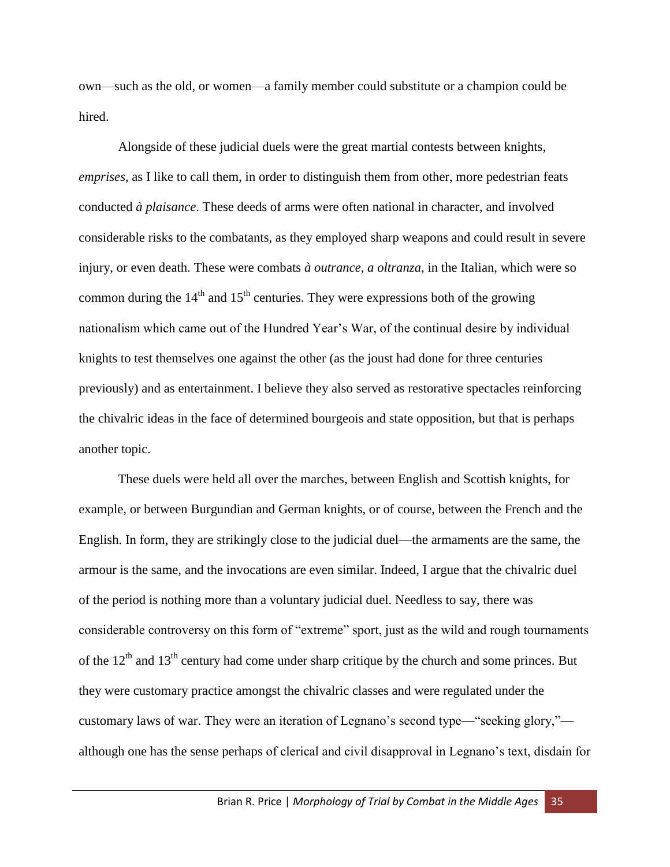own—such as the old, or women—a family member could substitute or a champion could be hired.

Alongside of these judicial duels were the great martial contests between knights, *emprises*, as I like to call them, in order to distinguish them from other, more pedestrian feats conducted *à plaisance*. These deeds of arms were often national in character, and involved considerable risks to the combatants, as they employed sharp weapons and could result in severe injury, or even death. These were combats *à outrance*, *a oltranza*, in the Italian, which were so common during the  $14<sup>th</sup>$  and  $15<sup>th</sup>$  centuries. They were expressions both of the growing nationalism which came out of the Hundred Year's War, of the continual desire by individual knights to test themselves one against the other (as the joust had done for three centuries previously) and as entertainment. I believe they also served as restorative spectacles reinforcing the chivalric ideas in the face of determined bourgeois and state opposition, but that is perhaps another topic.

These duels were held all over the marches, between English and Scottish knights, for example, or between Burgundian and German knights, or of course, between the French and the English. In form, they are strikingly close to the judicial duel—the armaments are the same, the armour is the same, and the invocations are even similar. Indeed, I argue that the chivalric duel of the period is nothing more than a voluntary judicial duel. Needless to say, there was considerable controversy on this form of "extreme" sport, just as the wild and rough tournaments of the  $12<sup>th</sup>$  and  $13<sup>th</sup>$  century had come under sharp critique by the church and some princes. But they were customary practice amongst the chivalric classes and were regulated under the customary laws of war. They were an iteration of Legnano's second type—"seeking glory," although one has the sense perhaps of clerical and civil disapproval in Legnano's text, disdain for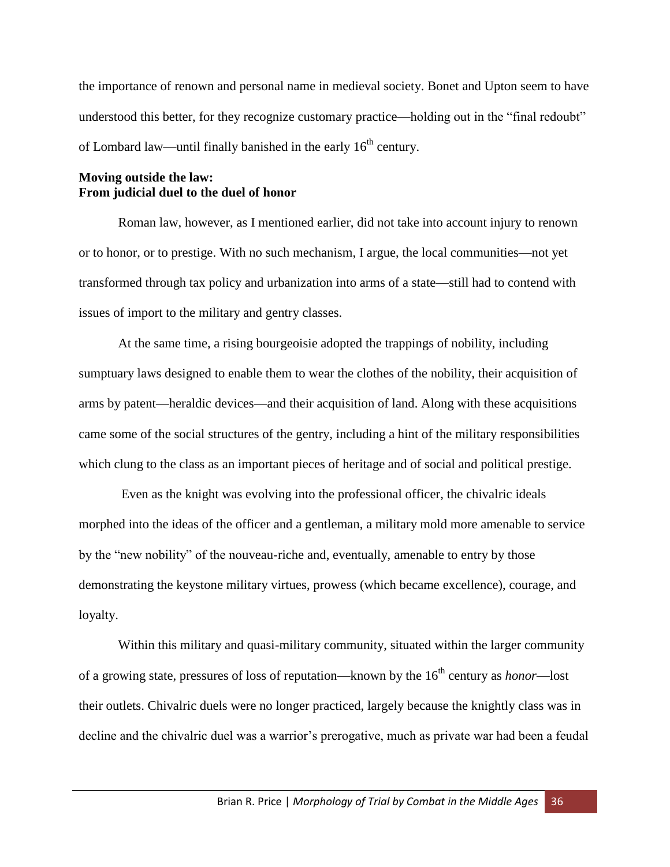the importance of renown and personal name in medieval society. Bonet and Upton seem to have understood this better, for they recognize customary practice—holding out in the "final redoubt" of Lombard law—until finally banished in the early  $16<sup>th</sup>$  century.

# **Moving outside the law: From judicial duel to the duel of honor**

Roman law, however, as I mentioned earlier, did not take into account injury to renown or to honor, or to prestige. With no such mechanism, I argue, the local communities—not yet transformed through tax policy and urbanization into arms of a state—still had to contend with issues of import to the military and gentry classes.

At the same time, a rising bourgeoisie adopted the trappings of nobility, including sumptuary laws designed to enable them to wear the clothes of the nobility, their acquisition of arms by patent—heraldic devices—and their acquisition of land. Along with these acquisitions came some of the social structures of the gentry, including a hint of the military responsibilities which clung to the class as an important pieces of heritage and of social and political prestige.

Even as the knight was evolving into the professional officer, the chivalric ideals morphed into the ideas of the officer and a gentleman, a military mold more amenable to service by the "new nobility" of the nouveau-riche and, eventually, amenable to entry by those demonstrating the keystone military virtues, prowess (which became excellence), courage, and loyalty.

Within this military and quasi-military community, situated within the larger community of a growing state, pressures of loss of reputation—known by the 16<sup>th</sup> century as *honor*—lost their outlets. Chivalric duels were no longer practiced, largely because the knightly class was in decline and the chivalric duel was a warrior's prerogative, much as private war had been a feudal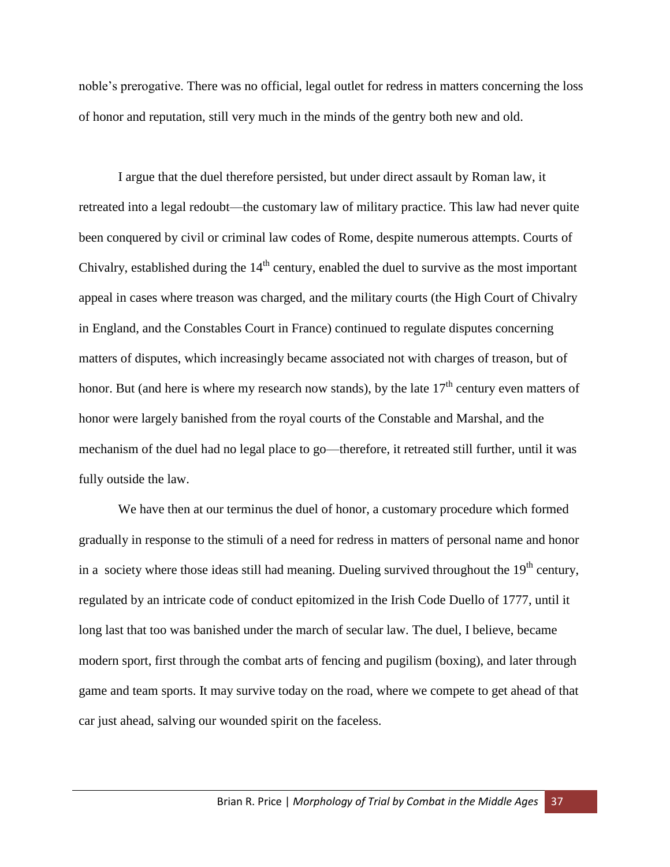noble's prerogative. There was no official, legal outlet for redress in matters concerning the loss of honor and reputation, still very much in the minds of the gentry both new and old.

I argue that the duel therefore persisted, but under direct assault by Roman law, it retreated into a legal redoubt—the customary law of military practice. This law had never quite been conquered by civil or criminal law codes of Rome, despite numerous attempts. Courts of Chivalry, established during the  $14<sup>th</sup>$  century, enabled the duel to survive as the most important appeal in cases where treason was charged, and the military courts (the High Court of Chivalry in England, and the Constables Court in France) continued to regulate disputes concerning matters of disputes, which increasingly became associated not with charges of treason, but of honor. But (and here is where my research now stands), by the late  $17<sup>th</sup>$  century even matters of honor were largely banished from the royal courts of the Constable and Marshal, and the mechanism of the duel had no legal place to go—therefore, it retreated still further, until it was fully outside the law.

We have then at our terminus the duel of honor, a customary procedure which formed gradually in response to the stimuli of a need for redress in matters of personal name and honor in a society where those ideas still had meaning. Dueling survived throughout the  $19<sup>th</sup>$  century, regulated by an intricate code of conduct epitomized in the Irish Code Duello of 1777, until it long last that too was banished under the march of secular law. The duel, I believe, became modern sport, first through the combat arts of fencing and pugilism (boxing), and later through game and team sports. It may survive today on the road, where we compete to get ahead of that car just ahead, salving our wounded spirit on the faceless.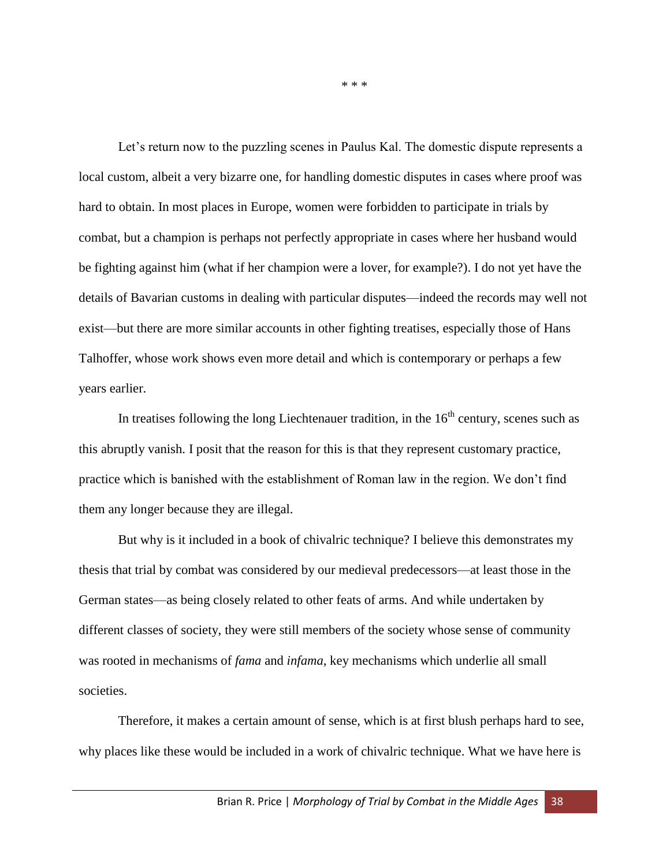Let's return now to the puzzling scenes in Paulus Kal. The domestic dispute represents a local custom, albeit a very bizarre one, for handling domestic disputes in cases where proof was hard to obtain. In most places in Europe, women were forbidden to participate in trials by combat, but a champion is perhaps not perfectly appropriate in cases where her husband would be fighting against him (what if her champion were a lover, for example?). I do not yet have the details of Bavarian customs in dealing with particular disputes—indeed the records may well not exist—but there are more similar accounts in other fighting treatises, especially those of Hans Talhoffer, whose work shows even more detail and which is contemporary or perhaps a few years earlier.

In treatises following the long Liechtenauer tradition, in the  $16<sup>th</sup>$  century, scenes such as this abruptly vanish. I posit that the reason for this is that they represent customary practice, practice which is banished with the establishment of Roman law in the region. We don't find them any longer because they are illegal.

But why is it included in a book of chivalric technique? I believe this demonstrates my thesis that trial by combat was considered by our medieval predecessors—at least those in the German states—as being closely related to other feats of arms. And while undertaken by different classes of society, they were still members of the society whose sense of community was rooted in mechanisms of *fama* and *infama*, key mechanisms which underlie all small societies.

Therefore, it makes a certain amount of sense, which is at first blush perhaps hard to see, why places like these would be included in a work of chivalric technique. What we have here is

\* \* \*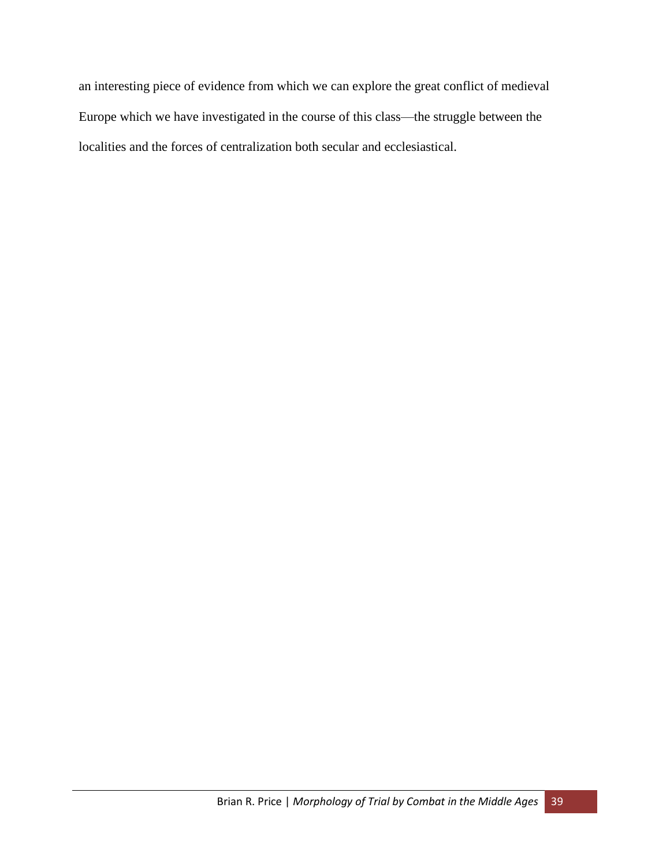an interesting piece of evidence from which we can explore the great conflict of medieval Europe which we have investigated in the course of this class—the struggle between the localities and the forces of centralization both secular and ecclesiastical.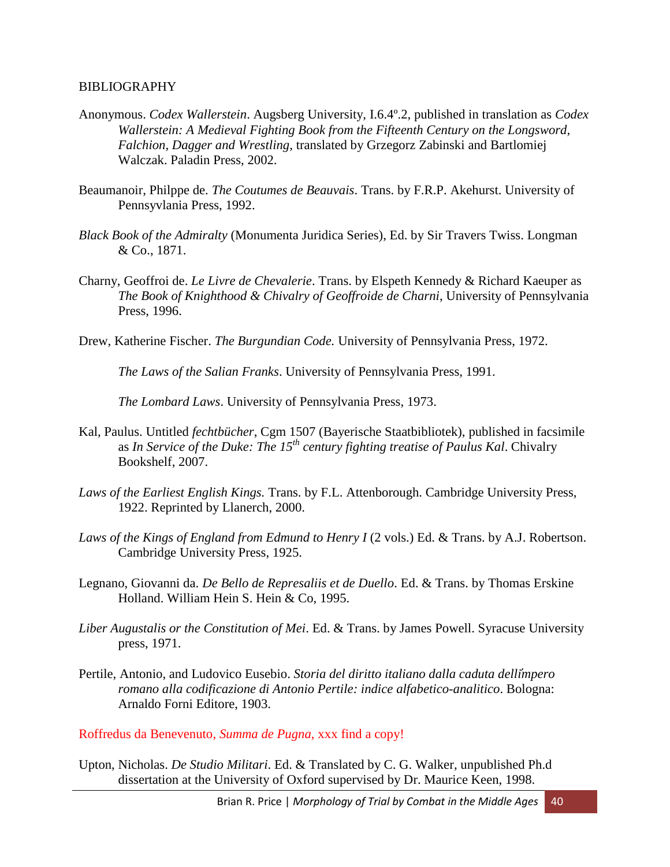#### BIBLIOGRAPHY

- Anonymous. *Codex Wallerstein*. Augsberg University, I.6.4º.2, published in translation as *Codex Wallerstein: A Medieval Fighting Book from the Fifteenth Century on the Longsword, Falchion, Dagger and Wrestling*, translated by Grzegorz Zabinski and Bartlomiej Walczak. Paladin Press, 2002.
- Beaumanoir, Philppe de. *The Coutumes de Beauvais*. Trans. by F.R.P. Akehurst. University of Pennsyvlania Press, 1992.
- *Black Book of the Admiralty* (Monumenta Juridica Series), Ed. by Sir Travers Twiss. Longman & Co., 1871.
- Charny, Geoffroi de. *Le Livre de Chevalerie*. Trans. by Elspeth Kennedy & Richard Kaeuper as *The Book of Knighthood & Chivalry of Geoffroide de Charni*, University of Pennsylvania Press, 1996.
- Drew, Katherine Fischer. *The Burgundian Code.* University of Pennsylvania Press, 1972.

*The Laws of the Salian Franks*. University of Pennsylvania Press, 1991.

*The Lombard Laws*. University of Pennsylvania Press, 1973.

- Kal, Paulus. Untitled *fechtbücher*, Cgm 1507 (Bayerische Staatbibliotek), published in facsimile as *In Service of the Duke: The 15th century fighting treatise of Paulus Kal*. Chivalry Bookshelf, 2007.
- *Laws of the Earliest English Kings.* Trans. by F.L. Attenborough. Cambridge University Press, 1922. Reprinted by Llanerch, 2000.
- *Laws of the Kings of England from Edmund to Henry I* (2 vols.) Ed. & Trans. by A.J. Robertson. Cambridge University Press, 1925.
- Legnano, Giovanni da. *De Bello de Represaliis et de Duello*. Ed. & Trans. by Thomas Erskine Holland. William Hein S. Hein & Co, 1995.
- *Liber Augustalis or the Constitution of Mei*. Ed. & Trans. by James Powell. Syracuse University press, 1971.
- Pertile, Antonio, and Ludovico Eusebio. *Storia del diritto italiano dalla caduta dellimpero romano alla codificazione di Antonio Pertile: indice alfabetico-analitico*. Bologna: Arnaldo Forni Editore, 1903.

Roffredus da Benevenuto, *Summa de Pugna*, xxx find a copy!

Upton, Nicholas. *De Studio Militari*. Ed. & Translated by C. G. Walker, unpublished Ph.d dissertation at the University of Oxford supervised by Dr. Maurice Keen, 1998.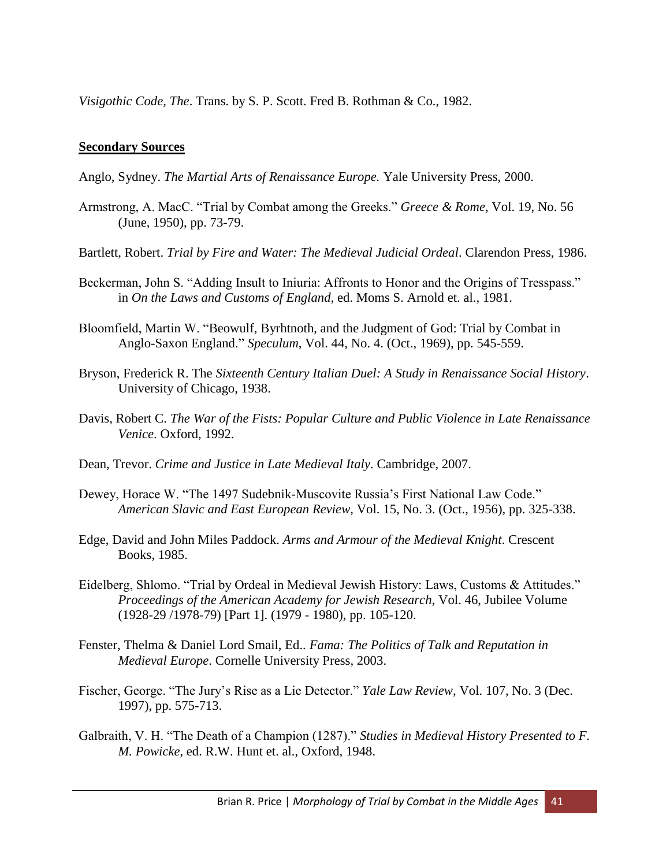*Visigothic Code, The*. Trans. by S. P. Scott. Fred B. Rothman & Co., 1982.

# **Secondary Sources**

Anglo, Sydney. *The Martial Arts of Renaissance Europe.* Yale University Press, 2000.

- Armstrong, A. MacC. "Trial by Combat among the Greeks." *Greece & Rome*, Vol. 19, No. 56 (June, 1950), pp. 73-79.
- Bartlett, Robert. *Trial by Fire and Water: The Medieval Judicial Ordeal*. Clarendon Press, 1986.
- Beckerman, John S. "Adding Insult to Iniuria: Affronts to Honor and the Origins of Tresspass." in *On the Laws and Customs of England*, ed. Moms S. Arnold et. al., 1981.
- Bloomfield, Martin W. "Beowulf, Byrhtnoth, and the Judgment of God: Trial by Combat in Anglo-Saxon England." *Speculum*, Vol. 44, No. 4. (Oct., 1969), pp. 545-559.
- Bryson, Frederick R. The *Sixteenth Century Italian Duel: A Study in Renaissance Social History*. University of Chicago, 1938.
- Davis, Robert C. *The War of the Fists: Popular Culture and Public Violence in Late Renaissance Venice*. Oxford, 1992.
- Dean, Trevor. *Crime and Justice in Late Medieval Italy*. Cambridge, 2007.
- Dewey, Horace W. "The 1497 Sudebnik-Muscovite Russia's First National Law Code." *American Slavic and East European Review*, Vol. 15, No. 3. (Oct., 1956), pp. 325-338.
- Edge, David and John Miles Paddock. *Arms and Armour of the Medieval Knight*. Crescent Books, 1985.
- Eidelberg, Shlomo. "Trial by Ordeal in Medieval Jewish History: Laws, Customs & Attitudes." *Proceedings of the American Academy for Jewish Research*, Vol. 46, Jubilee Volume (1928-29 /1978-79) [Part 1]. (1979 - 1980), pp. 105-120.
- Fenster, Thelma & Daniel Lord Smail, Ed.. *Fama: The Politics of Talk and Reputation in Medieval Europe*. Cornelle University Press, 2003.
- Fischer, George. "The Jury's Rise as a Lie Detector." *Yale Law Review*, Vol. 107, No. 3 (Dec. 1997), pp. 575-713.
- Galbraith, V. H. "The Death of a Champion (1287)." *Studies in Medieval History Presented to F. M. Powicke*, ed. R.W. Hunt et. al., Oxford, 1948.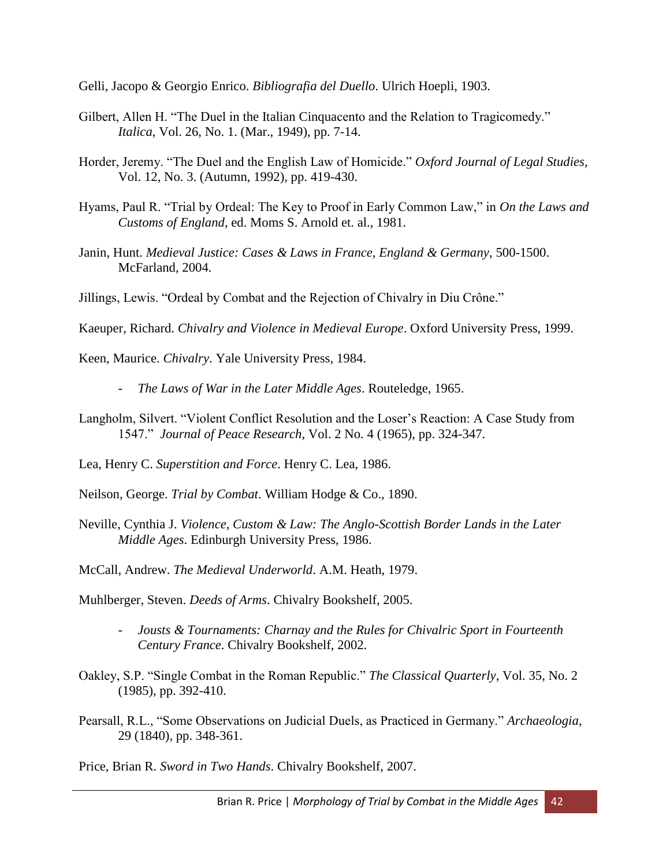Gelli, Jacopo & Georgio Enrico. *Bibliografia del Duello*. Ulrich Hoepli, 1903.

- Gilbert, Allen H. "The Duel in the Italian Cinquacento and the Relation to Tragicomedy." *Italica*, Vol. 26, No. 1. (Mar., 1949), pp. 7-14.
- Horder, Jeremy. "The Duel and the English Law of Homicide." *Oxford Journal of Legal Studies*, Vol. 12, No. 3. (Autumn, 1992), pp. 419-430.
- Hyams, Paul R. "Trial by Ordeal: The Key to Proof in Early Common Law," in *On the Laws and Customs of England*, ed. Moms S. Arnold et. al., 1981.
- Janin, Hunt. *Medieval Justice: Cases & Laws in France, England & Germany*, 500-1500. McFarland, 2004.
- Jillings, Lewis. "Ordeal by Combat and the Rejection of Chivalry in Diu Crône."

Kaeuper, Richard. *Chivalry and Violence in Medieval Europe*. Oxford University Press, 1999.

Keen, Maurice. *Chivalry*. Yale University Press, 1984.

- *The Laws of War in the Later Middle Ages*. Routeledge, 1965.
- Langholm, Silvert. "Violent Conflict Resolution and the Loser's Reaction: A Case Study from 1547." *Journal of Peace Research*, Vol. 2 No. 4 (1965), pp. 324-347.
- Lea, Henry C. *Superstition and Force*. Henry C. Lea, 1986.
- Neilson, George. *Trial by Combat*. William Hodge & Co., 1890.
- Neville, Cynthia J. *Violence, Custom & Law: The Anglo-Scottish Border Lands in the Later Middle Ages*. Edinburgh University Press, 1986.

McCall, Andrew. *The Medieval Underworld*. A.M. Heath, 1979.

Muhlberger, Steven. *Deeds of Arms*. Chivalry Bookshelf, 2005.

- *Jousts & Tournaments: Charnay and the Rules for Chivalric Sport in Fourteenth Century France*. Chivalry Bookshelf, 2002.
- Oakley, S.P. "Single Combat in the Roman Republic." *The Classical Quarterly*, Vol. 35, No. 2 (1985), pp. 392-410.
- Pearsall, R.L., "Some Observations on Judicial Duels, as Practiced in Germany." *Archaeologia*, 29 (1840), pp. 348-361.

Price, Brian R. *Sword in Two Hands*. Chivalry Bookshelf, 2007.